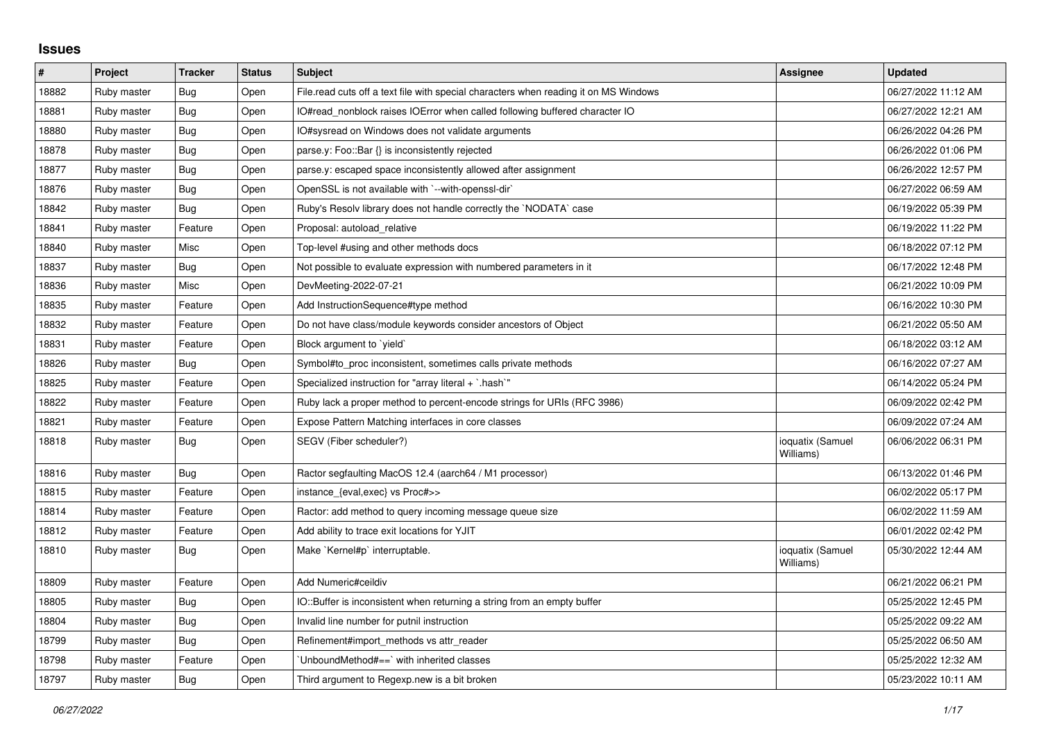## **Issues**

| $\#$  | Project     | <b>Tracker</b> | <b>Status</b> | <b>Subject</b>                                                                       | Assignee                      | <b>Updated</b>      |
|-------|-------------|----------------|---------------|--------------------------------------------------------------------------------------|-------------------------------|---------------------|
| 18882 | Ruby master | <b>Bug</b>     | Open          | File.read cuts off a text file with special characters when reading it on MS Windows |                               | 06/27/2022 11:12 AM |
| 18881 | Ruby master | Bug            | Open          | IO#read_nonblock raises IOError when called following buffered character IO          |                               | 06/27/2022 12:21 AM |
| 18880 | Ruby master | Bug            | Open          | O#sysread on Windows does not validate arguments                                     |                               | 06/26/2022 04:26 PM |
| 18878 | Ruby master | Bug            | Open          | parse.y: Foo::Bar {} is inconsistently rejected                                      |                               | 06/26/2022 01:06 PM |
| 18877 | Ruby master | Bug            | Open          | parse.y: escaped space inconsistently allowed after assignment                       |                               | 06/26/2022 12:57 PM |
| 18876 | Ruby master | <b>Bug</b>     | Open          | OpenSSL is not available with `--with-openssl-dir`                                   |                               | 06/27/2022 06:59 AM |
| 18842 | Ruby master | <b>Bug</b>     | Open          | Ruby's Resolv library does not handle correctly the `NODATA` case                    |                               | 06/19/2022 05:39 PM |
| 18841 | Ruby master | Feature        | Open          | Proposal: autoload relative                                                          |                               | 06/19/2022 11:22 PM |
| 18840 | Ruby master | Misc           | Open          | Top-level #using and other methods docs                                              |                               | 06/18/2022 07:12 PM |
| 18837 | Ruby master | <b>Bug</b>     | Open          | Not possible to evaluate expression with numbered parameters in it                   |                               | 06/17/2022 12:48 PM |
| 18836 | Ruby master | Misc           | Open          | DevMeeting-2022-07-21                                                                |                               | 06/21/2022 10:09 PM |
| 18835 | Ruby master | Feature        | Open          | Add InstructionSequence#type method                                                  |                               | 06/16/2022 10:30 PM |
| 18832 | Ruby master | Feature        | Open          | Do not have class/module keywords consider ancestors of Object                       |                               | 06/21/2022 05:50 AM |
| 18831 | Ruby master | Feature        | Open          | Block argument to 'yield'                                                            |                               | 06/18/2022 03:12 AM |
| 18826 | Ruby master | Bug            | Open          | Symbol#to proc inconsistent, sometimes calls private methods                         |                               | 06/16/2022 07:27 AM |
| 18825 | Ruby master | Feature        | Open          | Specialized instruction for "array literal + `.hash`"                                |                               | 06/14/2022 05:24 PM |
| 18822 | Ruby master | Feature        | Open          | Ruby lack a proper method to percent-encode strings for URIs (RFC 3986)              |                               | 06/09/2022 02:42 PM |
| 18821 | Ruby master | Feature        | Open          | Expose Pattern Matching interfaces in core classes                                   |                               | 06/09/2022 07:24 AM |
| 18818 | Ruby master | <b>Bug</b>     | Open          | SEGV (Fiber scheduler?)                                                              | ioquatix (Samuel<br>Williams) | 06/06/2022 06:31 PM |
| 18816 | Ruby master | Bug            | Open          | Ractor segfaulting MacOS 12.4 (aarch64 / M1 processor)                               |                               | 06/13/2022 01:46 PM |
| 18815 | Ruby master | Feature        | Open          | instance_{eval,exec} vs Proc#>>                                                      |                               | 06/02/2022 05:17 PM |
| 18814 | Ruby master | Feature        | Open          | Ractor: add method to query incoming message queue size                              |                               | 06/02/2022 11:59 AM |
| 18812 | Ruby master | Feature        | Open          | Add ability to trace exit locations for YJIT                                         |                               | 06/01/2022 02:42 PM |
| 18810 | Ruby master | Bug            | Open          | Make `Kernel#p` interruptable.                                                       | ioquatix (Samuel<br>Williams) | 05/30/2022 12:44 AM |
| 18809 | Ruby master | Feature        | Open          | Add Numeric#ceildiv                                                                  |                               | 06/21/2022 06:21 PM |
| 18805 | Ruby master | <b>Bug</b>     | Open          | IO::Buffer is inconsistent when returning a string from an empty buffer              |                               | 05/25/2022 12:45 PM |
| 18804 | Ruby master | <b>Bug</b>     | Open          | Invalid line number for putnil instruction                                           |                               | 05/25/2022 09:22 AM |
| 18799 | Ruby master | <b>Bug</b>     | Open          | Refinement#import methods vs attr reader                                             |                               | 05/25/2022 06:50 AM |
| 18798 | Ruby master | Feature        | Open          | UnboundMethod#==`with inherited classes                                              |                               | 05/25/2022 12:32 AM |
| 18797 | Ruby master | Bug            | Open          | Third argument to Regexp.new is a bit broken                                         |                               | 05/23/2022 10:11 AM |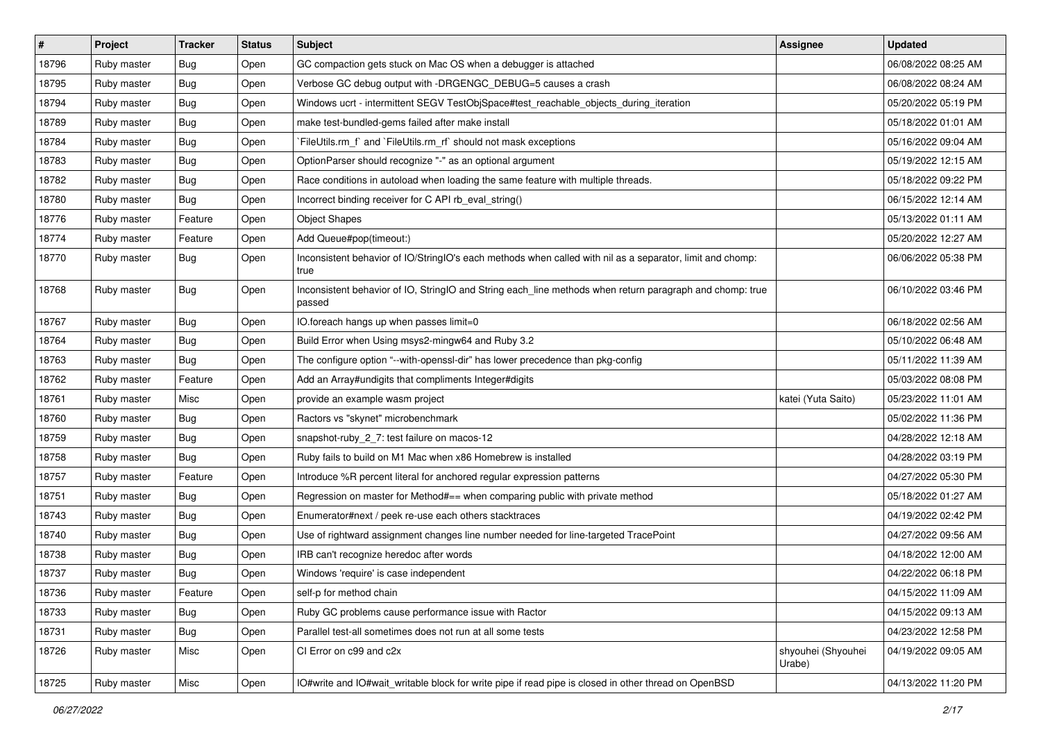| $\#$  | Project     | <b>Tracker</b> | <b>Status</b> | Subject                                                                                                            | <b>Assignee</b>              | <b>Updated</b>      |
|-------|-------------|----------------|---------------|--------------------------------------------------------------------------------------------------------------------|------------------------------|---------------------|
| 18796 | Ruby master | Bug            | Open          | GC compaction gets stuck on Mac OS when a debugger is attached                                                     |                              | 06/08/2022 08:25 AM |
| 18795 | Ruby master | Bug            | Open          | Verbose GC debug output with -DRGENGC_DEBUG=5 causes a crash                                                       |                              | 06/08/2022 08:24 AM |
| 18794 | Ruby master | <b>Bug</b>     | Open          | Windows ucrt - intermittent SEGV TestObjSpace#test_reachable_objects_during_iteration                              |                              | 05/20/2022 05:19 PM |
| 18789 | Ruby master | Bug            | Open          | make test-bundled-gems failed after make install                                                                   |                              | 05/18/2022 01:01 AM |
| 18784 | Ruby master | Bug            | Open          | `FileUtils.rm_f` and `FileUtils.rm_rf` should not mask exceptions                                                  |                              | 05/16/2022 09:04 AM |
| 18783 | Ruby master | <b>Bug</b>     | Open          | OptionParser should recognize "-" as an optional argument                                                          |                              | 05/19/2022 12:15 AM |
| 18782 | Ruby master | <b>Bug</b>     | Open          | Race conditions in autoload when loading the same feature with multiple threads.                                   |                              | 05/18/2022 09:22 PM |
| 18780 | Ruby master | <b>Bug</b>     | Open          | Incorrect binding receiver for C API rb_eval_string()                                                              |                              | 06/15/2022 12:14 AM |
| 18776 | Ruby master | Feature        | Open          | <b>Object Shapes</b>                                                                                               |                              | 05/13/2022 01:11 AM |
| 18774 | Ruby master | Feature        | Open          | Add Queue#pop(timeout:)                                                                                            |                              | 05/20/2022 12:27 AM |
| 18770 | Ruby master | Bug            | Open          | Inconsistent behavior of IO/StringIO's each methods when called with nil as a separator, limit and chomp:<br>true  |                              | 06/06/2022 05:38 PM |
| 18768 | Ruby master | Bug            | Open          | Inconsistent behavior of IO, StringIO and String each_line methods when return paragraph and chomp: true<br>passed |                              | 06/10/2022 03:46 PM |
| 18767 | Ruby master | Bug            | Open          | IO.foreach hangs up when passes limit=0                                                                            |                              | 06/18/2022 02:56 AM |
| 18764 | Ruby master | <b>Bug</b>     | Open          | Build Error when Using msys2-mingw64 and Ruby 3.2                                                                  |                              | 05/10/2022 06:48 AM |
| 18763 | Ruby master | Bug            | Open          | The configure option "--with-openssl-dir" has lower precedence than pkg-config                                     |                              | 05/11/2022 11:39 AM |
| 18762 | Ruby master | Feature        | Open          | Add an Array#undigits that compliments Integer#digits                                                              |                              | 05/03/2022 08:08 PM |
| 18761 | Ruby master | Misc           | Open          | provide an example wasm project                                                                                    | katei (Yuta Saito)           | 05/23/2022 11:01 AM |
| 18760 | Ruby master | Bug            | Open          | Ractors vs "skynet" microbenchmark                                                                                 |                              | 05/02/2022 11:36 PM |
| 18759 | Ruby master | <b>Bug</b>     | Open          | snapshot-ruby_2_7: test failure on macos-12                                                                        |                              | 04/28/2022 12:18 AM |
| 18758 | Ruby master | Bug            | Open          | Ruby fails to build on M1 Mac when x86 Homebrew is installed                                                       |                              | 04/28/2022 03:19 PM |
| 18757 | Ruby master | Feature        | Open          | Introduce %R percent literal for anchored regular expression patterns                                              |                              | 04/27/2022 05:30 PM |
| 18751 | Ruby master | Bug            | Open          | Regression on master for Method#== when comparing public with private method                                       |                              | 05/18/2022 01:27 AM |
| 18743 | Ruby master | Bug            | Open          | Enumerator#next / peek re-use each others stacktraces                                                              |                              | 04/19/2022 02:42 PM |
| 18740 | Ruby master | Bug            | Open          | Use of rightward assignment changes line number needed for line-targeted TracePoint                                |                              | 04/27/2022 09:56 AM |
| 18738 | Ruby master | Bug            | Open          | IRB can't recognize heredoc after words                                                                            |                              | 04/18/2022 12:00 AM |
| 18737 | Ruby master | Bug            | Open          | Windows 'require' is case independent                                                                              |                              | 04/22/2022 06:18 PM |
| 18736 | Ruby master | Feature        | Open          | self-p for method chain                                                                                            |                              | 04/15/2022 11:09 AM |
| 18733 | Ruby master | <b>Bug</b>     | Open          | Ruby GC problems cause performance issue with Ractor                                                               |                              | 04/15/2022 09:13 AM |
| 18731 | Ruby master | <b>Bug</b>     | Open          | Parallel test-all sometimes does not run at all some tests                                                         |                              | 04/23/2022 12:58 PM |
| 18726 | Ruby master | Misc           | Open          | CI Error on c99 and c2x                                                                                            | shyouhei (Shyouhei<br>Urabe) | 04/19/2022 09:05 AM |
| 18725 | Ruby master | Misc           | Open          | IO#write and IO#wait_writable block for write pipe if read pipe is closed in other thread on OpenBSD               |                              | 04/13/2022 11:20 PM |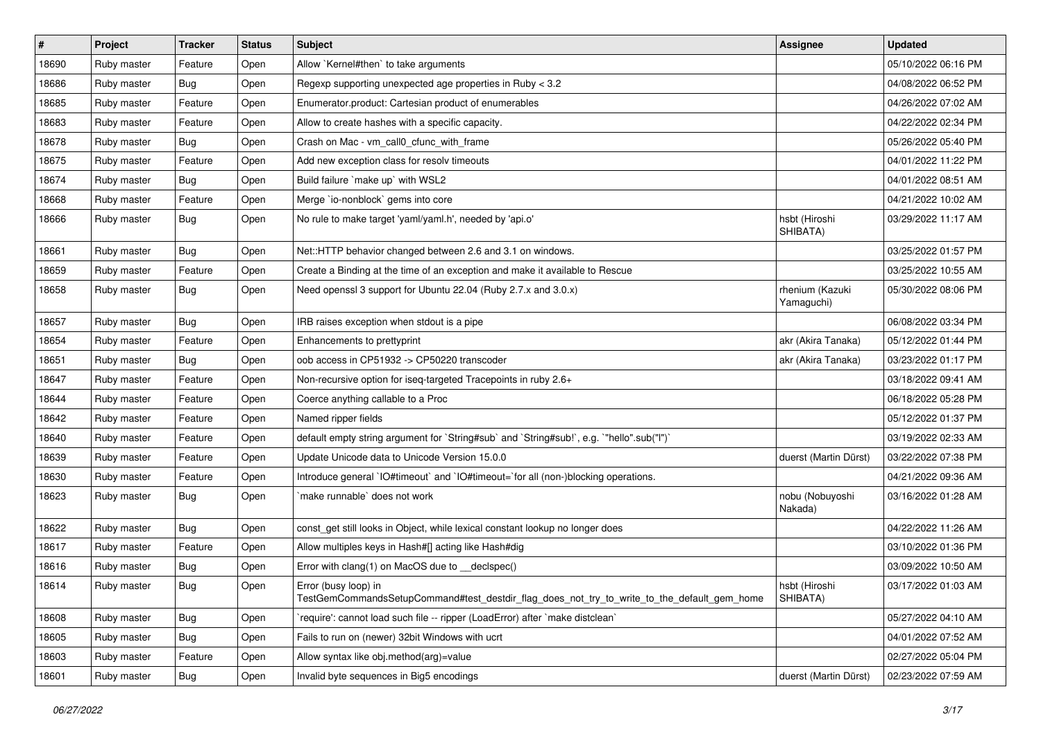| #     | Project     | <b>Tracker</b> | <b>Status</b> | Subject                                                                                                             | <b>Assignee</b>               | <b>Updated</b>      |
|-------|-------------|----------------|---------------|---------------------------------------------------------------------------------------------------------------------|-------------------------------|---------------------|
| 18690 | Ruby master | Feature        | Open          | Allow `Kernel#then` to take arguments                                                                               |                               | 05/10/2022 06:16 PM |
| 18686 | Ruby master | Bug            | Open          | Regexp supporting unexpected age properties in Ruby < 3.2                                                           |                               | 04/08/2022 06:52 PM |
| 18685 | Ruby master | Feature        | Open          | Enumerator.product: Cartesian product of enumerables                                                                |                               | 04/26/2022 07:02 AM |
| 18683 | Ruby master | Feature        | Open          | Allow to create hashes with a specific capacity.                                                                    |                               | 04/22/2022 02:34 PM |
| 18678 | Ruby master | Bug            | Open          | Crash on Mac - vm_call0_cfunc_with_frame                                                                            |                               | 05/26/2022 05:40 PM |
| 18675 | Ruby master | Feature        | Open          | Add new exception class for resolv timeouts                                                                         |                               | 04/01/2022 11:22 PM |
| 18674 | Ruby master | Bug            | Open          | Build failure 'make up' with WSL2                                                                                   |                               | 04/01/2022 08:51 AM |
| 18668 | Ruby master | Feature        | Open          | Merge `io-nonblock` gems into core                                                                                  |                               | 04/21/2022 10:02 AM |
| 18666 | Ruby master | Bug            | Open          | No rule to make target 'yaml/yaml.h', needed by 'api.o'                                                             | hsbt (Hiroshi<br>SHIBATA)     | 03/29/2022 11:17 AM |
| 18661 | Ruby master | Bug            | Open          | Net::HTTP behavior changed between 2.6 and 3.1 on windows.                                                          |                               | 03/25/2022 01:57 PM |
| 18659 | Ruby master | Feature        | Open          | Create a Binding at the time of an exception and make it available to Rescue                                        |                               | 03/25/2022 10:55 AM |
| 18658 | Ruby master | Bug            | Open          | Need openssl 3 support for Ubuntu 22.04 (Ruby 2.7.x and 3.0.x)                                                      | rhenium (Kazuki<br>Yamaguchi) | 05/30/2022 08:06 PM |
| 18657 | Ruby master | Bug            | Open          | IRB raises exception when stdout is a pipe                                                                          |                               | 06/08/2022 03:34 PM |
| 18654 | Ruby master | Feature        | Open          | Enhancements to prettyprint                                                                                         | akr (Akira Tanaka)            | 05/12/2022 01:44 PM |
| 18651 | Ruby master | Bug            | Open          | oob access in CP51932 -> CP50220 transcoder                                                                         | akr (Akira Tanaka)            | 03/23/2022 01:17 PM |
| 18647 | Ruby master | Feature        | Open          | Non-recursive option for iseq-targeted Tracepoints in ruby 2.6+                                                     |                               | 03/18/2022 09:41 AM |
| 18644 | Ruby master | Feature        | Open          | Coerce anything callable to a Proc                                                                                  |                               | 06/18/2022 05:28 PM |
| 18642 | Ruby master | Feature        | Open          | Named ripper fields                                                                                                 |                               | 05/12/2022 01:37 PM |
| 18640 | Ruby master | Feature        | Open          | default empty string argument for `String#sub` and `String#sub!`, e.g. `"hello".sub("I")`                           |                               | 03/19/2022 02:33 AM |
| 18639 | Ruby master | Feature        | Open          | Update Unicode data to Unicode Version 15.0.0                                                                       | duerst (Martin Dürst)         | 03/22/2022 07:38 PM |
| 18630 | Ruby master | Feature        | Open          | Introduce general `IO#timeout` and `IO#timeout=`for all (non-)blocking operations.                                  |                               | 04/21/2022 09:36 AM |
| 18623 | Ruby master | Bug            | Open          | `make runnable` does not work                                                                                       | nobu (Nobuyoshi<br>Nakada)    | 03/16/2022 01:28 AM |
| 18622 | Ruby master | Bug            | Open          | const_get still looks in Object, while lexical constant lookup no longer does                                       |                               | 04/22/2022 11:26 AM |
| 18617 | Ruby master | Feature        | Open          | Allow multiples keys in Hash#[] acting like Hash#dig                                                                |                               | 03/10/2022 01:36 PM |
| 18616 | Ruby master | Bug            | Open          | Error with clang(1) on MacOS due to _declspec()                                                                     |                               | 03/09/2022 10:50 AM |
| 18614 | Ruby master | Bug            | Open          | Error (busy loop) in<br>TestGemCommandsSetupCommand#test_destdir_flag_does_not_try_to_write_to_the_default_gem_home | hsbt (Hiroshi<br>SHIBATA)     | 03/17/2022 01:03 AM |
| 18608 | Ruby master | <b>Bug</b>     | Open          | 'require': cannot load such file -- ripper (LoadError) after 'make distclean'                                       |                               | 05/27/2022 04:10 AM |
| 18605 | Ruby master | Bug            | Open          | Fails to run on (newer) 32bit Windows with ucrt                                                                     |                               | 04/01/2022 07:52 AM |
| 18603 | Ruby master | Feature        | Open          | Allow syntax like obj.method(arg)=value                                                                             |                               | 02/27/2022 05:04 PM |
| 18601 | Ruby master | Bug            | Open          | Invalid byte sequences in Big5 encodings                                                                            | duerst (Martin Dürst)         | 02/23/2022 07:59 AM |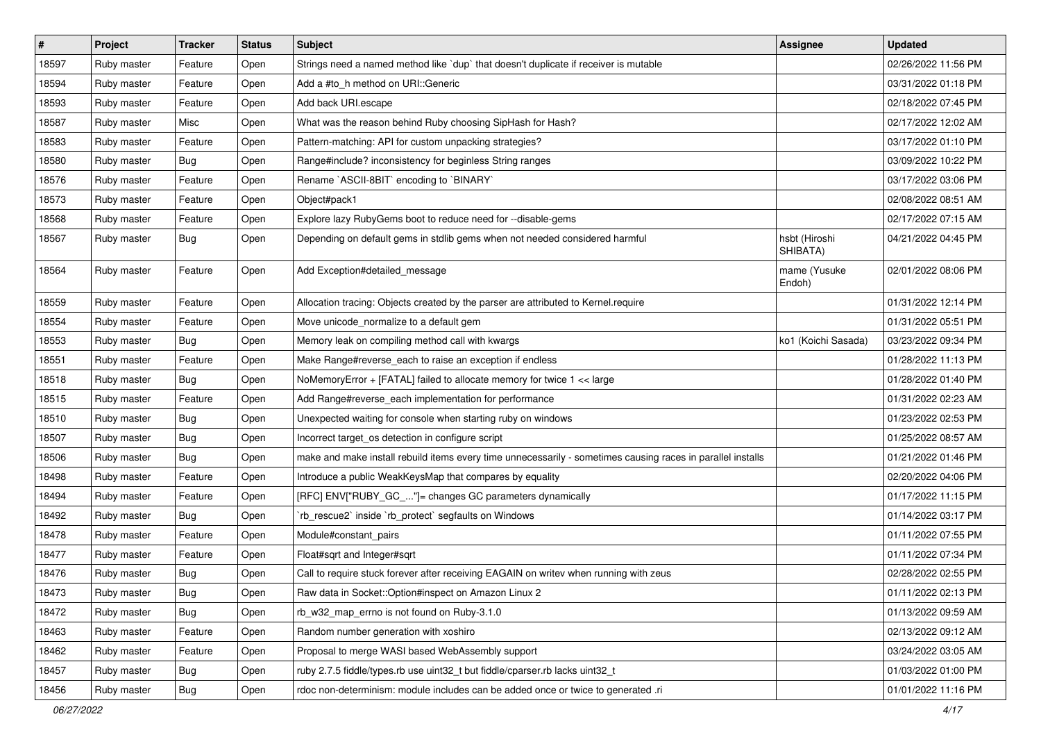| $\vert$ # | Project     | <b>Tracker</b> | <b>Status</b> | <b>Subject</b>                                                                                              | <b>Assignee</b>           | <b>Updated</b>      |
|-----------|-------------|----------------|---------------|-------------------------------------------------------------------------------------------------------------|---------------------------|---------------------|
| 18597     | Ruby master | Feature        | Open          | Strings need a named method like `dup` that doesn't duplicate if receiver is mutable                        |                           | 02/26/2022 11:56 PM |
| 18594     | Ruby master | Feature        | Open          | Add a #to_h method on URI::Generic                                                                          |                           | 03/31/2022 01:18 PM |
| 18593     | Ruby master | Feature        | Open          | Add back URI.escape                                                                                         |                           | 02/18/2022 07:45 PM |
| 18587     | Ruby master | Misc           | Open          | What was the reason behind Ruby choosing SipHash for Hash?                                                  |                           | 02/17/2022 12:02 AM |
| 18583     | Ruby master | Feature        | Open          | Pattern-matching: API for custom unpacking strategies?                                                      |                           | 03/17/2022 01:10 PM |
| 18580     | Ruby master | Bug            | Open          | Range#include? inconsistency for beginless String ranges                                                    |                           | 03/09/2022 10:22 PM |
| 18576     | Ruby master | Feature        | Open          | Rename `ASCII-8BIT` encoding to `BINARY`                                                                    |                           | 03/17/2022 03:06 PM |
| 18573     | Ruby master | Feature        | Open          | Object#pack1                                                                                                |                           | 02/08/2022 08:51 AM |
| 18568     | Ruby master | Feature        | Open          | Explore lazy RubyGems boot to reduce need for --disable-gems                                                |                           | 02/17/2022 07:15 AM |
| 18567     | Ruby master | Bug            | Open          | Depending on default gems in stdlib gems when not needed considered harmful                                 | hsbt (Hiroshi<br>SHIBATA) | 04/21/2022 04:45 PM |
| 18564     | Ruby master | Feature        | Open          | Add Exception#detailed_message                                                                              | mame (Yusuke<br>Endoh)    | 02/01/2022 08:06 PM |
| 18559     | Ruby master | Feature        | Open          | Allocation tracing: Objects created by the parser are attributed to Kernel.require                          |                           | 01/31/2022 12:14 PM |
| 18554     | Ruby master | Feature        | Open          | Move unicode_normalize to a default gem                                                                     |                           | 01/31/2022 05:51 PM |
| 18553     | Ruby master | Bug            | Open          | Memory leak on compiling method call with kwargs                                                            | ko1 (Koichi Sasada)       | 03/23/2022 09:34 PM |
| 18551     | Ruby master | Feature        | Open          | Make Range#reverse_each to raise an exception if endless                                                    |                           | 01/28/2022 11:13 PM |
| 18518     | Ruby master | Bug            | Open          | NoMemoryError + [FATAL] failed to allocate memory for twice 1 << large                                      |                           | 01/28/2022 01:40 PM |
| 18515     | Ruby master | Feature        | Open          | Add Range#reverse_each implementation for performance                                                       |                           | 01/31/2022 02:23 AM |
| 18510     | Ruby master | Bug            | Open          | Unexpected waiting for console when starting ruby on windows                                                |                           | 01/23/2022 02:53 PM |
| 18507     | Ruby master | Bug            | Open          | Incorrect target_os detection in configure script                                                           |                           | 01/25/2022 08:57 AM |
| 18506     | Ruby master | Bug            | Open          | make and make install rebuild items every time unnecessarily - sometimes causing races in parallel installs |                           | 01/21/2022 01:46 PM |
| 18498     | Ruby master | Feature        | Open          | Introduce a public WeakKeysMap that compares by equality                                                    |                           | 02/20/2022 04:06 PM |
| 18494     | Ruby master | Feature        | Open          | [RFC] ENV["RUBY_GC_"]= changes GC parameters dynamically                                                    |                           | 01/17/2022 11:15 PM |
| 18492     | Ruby master | <b>Bug</b>     | Open          | 'rb_rescue2' inside 'rb_protect' segfaults on Windows                                                       |                           | 01/14/2022 03:17 PM |
| 18478     | Ruby master | Feature        | Open          | Module#constant_pairs                                                                                       |                           | 01/11/2022 07:55 PM |
| 18477     | Ruby master | Feature        | Open          | Float#sqrt and Integer#sqrt                                                                                 |                           | 01/11/2022 07:34 PM |
| 18476     | Ruby master | Bug            | Open          | Call to require stuck forever after receiving EAGAIN on writev when running with zeus                       |                           | 02/28/2022 02:55 PM |
| 18473     | Ruby master | Bug            | Open          | Raw data in Socket:: Option#inspect on Amazon Linux 2                                                       |                           | 01/11/2022 02:13 PM |
| 18472     | Ruby master | Bug            | Open          | rb_w32_map_errno is not found on Ruby-3.1.0                                                                 |                           | 01/13/2022 09:59 AM |
| 18463     | Ruby master | Feature        | Open          | Random number generation with xoshiro                                                                       |                           | 02/13/2022 09:12 AM |
| 18462     | Ruby master | Feature        | Open          | Proposal to merge WASI based WebAssembly support                                                            |                           | 03/24/2022 03:05 AM |
| 18457     | Ruby master | <b>Bug</b>     | Open          | ruby 2.7.5 fiddle/types.rb use uint32_t but fiddle/cparser.rb lacks uint32_t                                |                           | 01/03/2022 01:00 PM |
| 18456     | Ruby master | <b>Bug</b>     | Open          | rdoc non-determinism: module includes can be added once or twice to generated .ri                           |                           | 01/01/2022 11:16 PM |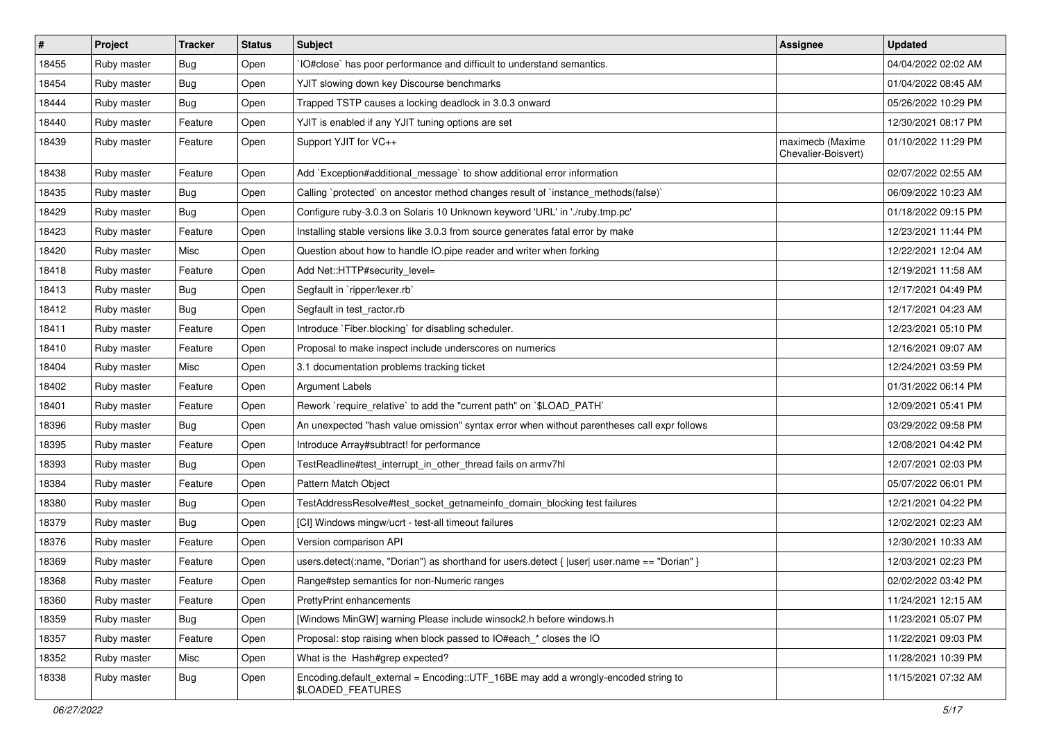| #     | Project     | <b>Tracker</b> | <b>Status</b> | <b>Subject</b>                                                                                                 | <b>Assignee</b>                         | <b>Updated</b>      |
|-------|-------------|----------------|---------------|----------------------------------------------------------------------------------------------------------------|-----------------------------------------|---------------------|
| 18455 | Ruby master | Bug            | Open          | IO#close` has poor performance and difficult to understand semantics.                                          |                                         | 04/04/2022 02:02 AM |
| 18454 | Ruby master | Bug            | Open          | YJIT slowing down key Discourse benchmarks                                                                     |                                         | 01/04/2022 08:45 AM |
| 18444 | Ruby master | <b>Bug</b>     | Open          | Trapped TSTP causes a locking deadlock in 3.0.3 onward                                                         |                                         | 05/26/2022 10:29 PM |
| 18440 | Ruby master | Feature        | Open          | YJIT is enabled if any YJIT tuning options are set                                                             |                                         | 12/30/2021 08:17 PM |
| 18439 | Ruby master | Feature        | Open          | Support YJIT for VC++                                                                                          | maximecb (Maxime<br>Chevalier-Boisvert) | 01/10/2022 11:29 PM |
| 18438 | Ruby master | Feature        | Open          | Add `Exception#additional_message` to show additional error information                                        |                                         | 02/07/2022 02:55 AM |
| 18435 | Ruby master | <b>Bug</b>     | Open          | Calling `protected` on ancestor method changes result of `instance_methods(false)`                             |                                         | 06/09/2022 10:23 AM |
| 18429 | Ruby master | <b>Bug</b>     | Open          | Configure ruby-3.0.3 on Solaris 10 Unknown keyword 'URL' in './ruby.tmp.pc'                                    |                                         | 01/18/2022 09:15 PM |
| 18423 | Ruby master | Feature        | Open          | Installing stable versions like 3.0.3 from source generates fatal error by make                                |                                         | 12/23/2021 11:44 PM |
| 18420 | Ruby master | Misc           | Open          | Question about how to handle IO.pipe reader and writer when forking                                            |                                         | 12/22/2021 12:04 AM |
| 18418 | Ruby master | Feature        | Open          | Add Net::HTTP#security_level=                                                                                  |                                         | 12/19/2021 11:58 AM |
| 18413 | Ruby master | Bug            | Open          | Segfault in `ripper/lexer.rb`                                                                                  |                                         | 12/17/2021 04:49 PM |
| 18412 | Ruby master | <b>Bug</b>     | Open          | Segfault in test_ractor.rb                                                                                     |                                         | 12/17/2021 04:23 AM |
| 18411 | Ruby master | Feature        | Open          | Introduce `Fiber.blocking` for disabling scheduler.                                                            |                                         | 12/23/2021 05:10 PM |
| 18410 | Ruby master | Feature        | Open          | Proposal to make inspect include underscores on numerics                                                       |                                         | 12/16/2021 09:07 AM |
| 18404 | Ruby master | Misc           | Open          | 3.1 documentation problems tracking ticket                                                                     |                                         | 12/24/2021 03:59 PM |
| 18402 | Ruby master | Feature        | Open          | <b>Argument Labels</b>                                                                                         |                                         | 01/31/2022 06:14 PM |
| 18401 | Ruby master | Feature        | Open          | Rework `require_relative` to add the "current path" on `\$LOAD_PATH`                                           |                                         | 12/09/2021 05:41 PM |
| 18396 | Ruby master | Bug            | Open          | An unexpected "hash value omission" syntax error when without parentheses call expr follows                    |                                         | 03/29/2022 09:58 PM |
| 18395 | Ruby master | Feature        | Open          | Introduce Array#subtract! for performance                                                                      |                                         | 12/08/2021 04:42 PM |
| 18393 | Ruby master | <b>Bug</b>     | Open          | TestReadline#test_interrupt_in_other_thread fails on armv7hl                                                   |                                         | 12/07/2021 02:03 PM |
| 18384 | Ruby master | Feature        | Open          | Pattern Match Object                                                                                           |                                         | 05/07/2022 06:01 PM |
| 18380 | Ruby master | Bug            | Open          | TestAddressResolve#test_socket_getnameinfo_domain_blocking test failures                                       |                                         | 12/21/2021 04:22 PM |
| 18379 | Ruby master | <b>Bug</b>     | Open          | [CI] Windows mingw/ucrt - test-all timeout failures                                                            |                                         | 12/02/2021 02:23 AM |
| 18376 | Ruby master | Feature        | Open          | Version comparison API                                                                                         |                                         | 12/30/2021 10:33 AM |
| 18369 | Ruby master | Feature        | Open          | users.detect(:name, "Dorian") as shorthand for users.detect {  user  user.name == "Dorian" }                   |                                         | 12/03/2021 02:23 PM |
| 18368 | Ruby master | Feature        | Open          | Range#step semantics for non-Numeric ranges                                                                    |                                         | 02/02/2022 03:42 PM |
| 18360 | Ruby master | Feature        | Open          | <b>PrettyPrint enhancements</b>                                                                                |                                         | 11/24/2021 12:15 AM |
| 18359 | Ruby master | <b>Bug</b>     | Open          | [Windows MinGW] warning Please include winsock2.h before windows.h                                             |                                         | 11/23/2021 05:07 PM |
| 18357 | Ruby master | Feature        | Open          | Proposal: stop raising when block passed to IO#each * closes the IO                                            |                                         | 11/22/2021 09:03 PM |
| 18352 | Ruby master | Misc           | Open          | What is the Hash#grep expected?                                                                                |                                         | 11/28/2021 10:39 PM |
| 18338 | Ruby master | Bug            | Open          | Encoding.default_external = Encoding::UTF_16BE may add a wrongly-encoded string to<br><b>\$LOADED FEATURES</b> |                                         | 11/15/2021 07:32 AM |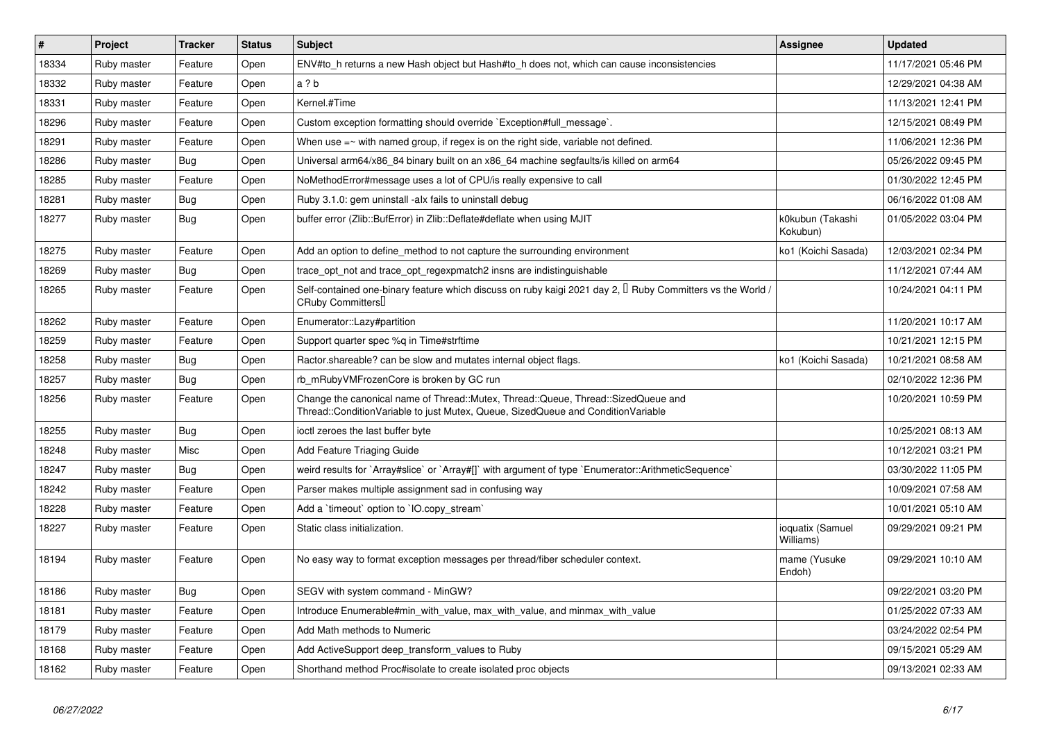| $\vert$ # | Project     | Tracker    | <b>Status</b> | Subject                                                                                                                                                               | Assignee                      | <b>Updated</b>      |
|-----------|-------------|------------|---------------|-----------------------------------------------------------------------------------------------------------------------------------------------------------------------|-------------------------------|---------------------|
| 18334     | Ruby master | Feature    | Open          | ENV#to_h returns a new Hash object but Hash#to_h does not, which can cause inconsistencies                                                                            |                               | 11/17/2021 05:46 PM |
| 18332     | Ruby master | Feature    | Open          | a ? b                                                                                                                                                                 |                               | 12/29/2021 04:38 AM |
| 18331     | Ruby master | Feature    | Open          | Kernel.#Time                                                                                                                                                          |                               | 11/13/2021 12:41 PM |
| 18296     | Ruby master | Feature    | Open          | Custom exception formatting should override `Exception#full_message`.                                                                                                 |                               | 12/15/2021 08:49 PM |
| 18291     | Ruby master | Feature    | Open          | When use $=$ $\sim$ with named group, if regex is on the right side, variable not defined.                                                                            |                               | 11/06/2021 12:36 PM |
| 18286     | Ruby master | Bug        | Open          | Universal arm64/x86_84 binary built on an x86_64 machine segfaults/is killed on arm64                                                                                 |                               | 05/26/2022 09:45 PM |
| 18285     | Ruby master | Feature    | Open          | NoMethodError#message uses a lot of CPU/is really expensive to call                                                                                                   |                               | 01/30/2022 12:45 PM |
| 18281     | Ruby master | Bug        | Open          | Ruby 3.1.0: gem uninstall -alx fails to uninstall debug                                                                                                               |                               | 06/16/2022 01:08 AM |
| 18277     | Ruby master | <b>Bug</b> | Open          | buffer error (Zlib::BufError) in Zlib::Deflate#deflate when using MJIT                                                                                                | k0kubun (Takashi<br>Kokubun)  | 01/05/2022 03:04 PM |
| 18275     | Ruby master | Feature    | Open          | Add an option to define method to not capture the surrounding environment                                                                                             | ko1 (Koichi Sasada)           | 12/03/2021 02:34 PM |
| 18269     | Ruby master | Bug        | Open          | trace_opt_not and trace_opt_regexpmatch2 insns are indistinguishable                                                                                                  |                               | 11/12/2021 07:44 AM |
| 18265     | Ruby master | Feature    | Open          | Self-contained one-binary feature which discuss on ruby kaigi 2021 day 2, $\Box$ Ruby Committers vs the World /<br>CRuby Committers                                   |                               | 10/24/2021 04:11 PM |
| 18262     | Ruby master | Feature    | Open          | Enumerator::Lazy#partition                                                                                                                                            |                               | 11/20/2021 10:17 AM |
| 18259     | Ruby master | Feature    | Open          | Support quarter spec %q in Time#strftime                                                                                                                              |                               | 10/21/2021 12:15 PM |
| 18258     | Ruby master | <b>Bug</b> | Open          | Ractor shareable? can be slow and mutates internal object flags.                                                                                                      | ko1 (Koichi Sasada)           | 10/21/2021 08:58 AM |
| 18257     | Ruby master | <b>Bug</b> | Open          | rb_mRubyVMFrozenCore is broken by GC run                                                                                                                              |                               | 02/10/2022 12:36 PM |
| 18256     | Ruby master | Feature    | Open          | Change the canonical name of Thread::Mutex, Thread::Queue, Thread::SizedQueue and<br>Thread::ConditionVariable to just Mutex, Queue, SizedQueue and ConditionVariable |                               | 10/20/2021 10:59 PM |
| 18255     | Ruby master | <b>Bug</b> | Open          | ioctl zeroes the last buffer byte                                                                                                                                     |                               | 10/25/2021 08:13 AM |
| 18248     | Ruby master | Misc       | Open          | Add Feature Triaging Guide                                                                                                                                            |                               | 10/12/2021 03:21 PM |
| 18247     | Ruby master | Bug        | Open          | weird results for `Array#slice` or `Array#[]` with argument of type `Enumerator::ArithmeticSequence`                                                                  |                               | 03/30/2022 11:05 PM |
| 18242     | Ruby master | Feature    | Open          | Parser makes multiple assignment sad in confusing way                                                                                                                 |                               | 10/09/2021 07:58 AM |
| 18228     | Ruby master | Feature    | Open          | Add a 'timeout' option to 'IO.copy_stream'                                                                                                                            |                               | 10/01/2021 05:10 AM |
| 18227     | Ruby master | Feature    | Open          | Static class initialization.                                                                                                                                          | ioquatix (Samuel<br>Williams) | 09/29/2021 09:21 PM |
| 18194     | Ruby master | Feature    | Open          | No easy way to format exception messages per thread/fiber scheduler context.                                                                                          | mame (Yusuke<br>Endoh)        | 09/29/2021 10:10 AM |
| 18186     | Ruby master | <b>Bug</b> | Open          | SEGV with system command - MinGW?                                                                                                                                     |                               | 09/22/2021 03:20 PM |
| 18181     | Ruby master | Feature    | Open          | Introduce Enumerable#min with value, max with value, and minmax with value                                                                                            |                               | 01/25/2022 07:33 AM |
| 18179     | Ruby master | Feature    | Open          | Add Math methods to Numeric                                                                                                                                           |                               | 03/24/2022 02:54 PM |
| 18168     | Ruby master | Feature    | Open          | Add ActiveSupport deep_transform_values to Ruby                                                                                                                       |                               | 09/15/2021 05:29 AM |
| 18162     | Ruby master | Feature    | Open          | Shorthand method Proc#isolate to create isolated proc objects                                                                                                         |                               | 09/13/2021 02:33 AM |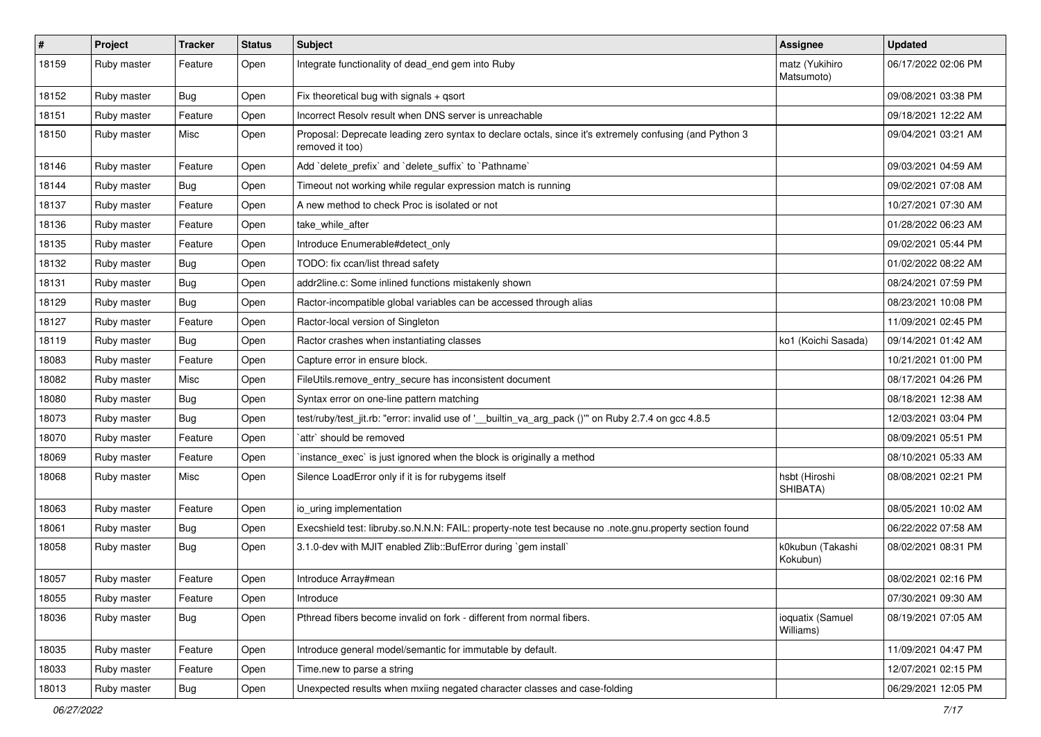| #     | Project     | Tracker    | <b>Status</b> | <b>Subject</b>                                                                                                             | <b>Assignee</b>               | <b>Updated</b>      |
|-------|-------------|------------|---------------|----------------------------------------------------------------------------------------------------------------------------|-------------------------------|---------------------|
| 18159 | Ruby master | Feature    | Open          | Integrate functionality of dead_end gem into Ruby                                                                          | matz (Yukihiro<br>Matsumoto)  | 06/17/2022 02:06 PM |
| 18152 | Ruby master | <b>Bug</b> | Open          | Fix theoretical bug with signals + qsort                                                                                   |                               | 09/08/2021 03:38 PM |
| 18151 | Ruby master | Feature    | Open          | Incorrect Resolv result when DNS server is unreachable                                                                     |                               | 09/18/2021 12:22 AM |
| 18150 | Ruby master | Misc       | Open          | Proposal: Deprecate leading zero syntax to declare octals, since it's extremely confusing (and Python 3<br>removed it too) |                               | 09/04/2021 03:21 AM |
| 18146 | Ruby master | Feature    | Open          | Add 'delete_prefix' and 'delete_suffix' to 'Pathname'                                                                      |                               | 09/03/2021 04:59 AM |
| 18144 | Ruby master | Bug        | Open          | Timeout not working while regular expression match is running                                                              |                               | 09/02/2021 07:08 AM |
| 18137 | Ruby master | Feature    | Open          | A new method to check Proc is isolated or not                                                                              |                               | 10/27/2021 07:30 AM |
| 18136 | Ruby master | Feature    | Open          | take_while_after                                                                                                           |                               | 01/28/2022 06:23 AM |
| 18135 | Ruby master | Feature    | Open          | Introduce Enumerable#detect_only                                                                                           |                               | 09/02/2021 05:44 PM |
| 18132 | Ruby master | Bug        | Open          | TODO: fix ccan/list thread safety                                                                                          |                               | 01/02/2022 08:22 AM |
| 18131 | Ruby master | Bug        | Open          | addr2line.c: Some inlined functions mistakenly shown                                                                       |                               | 08/24/2021 07:59 PM |
| 18129 | Ruby master | Bug        | Open          | Ractor-incompatible global variables can be accessed through alias                                                         |                               | 08/23/2021 10:08 PM |
| 18127 | Ruby master | Feature    | Open          | Ractor-local version of Singleton                                                                                          |                               | 11/09/2021 02:45 PM |
| 18119 | Ruby master | Bug        | Open          | Ractor crashes when instantiating classes                                                                                  | ko1 (Koichi Sasada)           | 09/14/2021 01:42 AM |
| 18083 | Ruby master | Feature    | Open          | Capture error in ensure block.                                                                                             |                               | 10/21/2021 01:00 PM |
| 18082 | Ruby master | Misc       | Open          | FileUtils.remove_entry_secure has inconsistent document                                                                    |                               | 08/17/2021 04:26 PM |
| 18080 | Ruby master | Bug        | Open          | Syntax error on one-line pattern matching                                                                                  |                               | 08/18/2021 12:38 AM |
| 18073 | Ruby master | <b>Bug</b> | Open          | test/ruby/test_jit.rb: "error: invalid use of '__builtin_va_arg_pack ()"" on Ruby 2.7.4 on gcc 4.8.5                       |                               | 12/03/2021 03:04 PM |
| 18070 | Ruby master | Feature    | Open          | `attr` should be removed                                                                                                   |                               | 08/09/2021 05:51 PM |
| 18069 | Ruby master | Feature    | Open          | 'instance_exec' is just ignored when the block is originally a method                                                      |                               | 08/10/2021 05:33 AM |
| 18068 | Ruby master | Misc       | Open          | Silence LoadError only if it is for rubygems itself                                                                        | hsbt (Hiroshi<br>SHIBATA)     | 08/08/2021 02:21 PM |
| 18063 | Ruby master | Feature    | Open          | io_uring implementation                                                                                                    |                               | 08/05/2021 10:02 AM |
| 18061 | Ruby master | Bug        | Open          | Execshield test: libruby.so.N.N.N: FAIL: property-note test because no .note.gnu.property section found                    |                               | 06/22/2022 07:58 AM |
| 18058 | Ruby master | Bug        | Open          | 3.1.0-dev with MJIT enabled Zlib::BufError during `gem install`                                                            | k0kubun (Takashi<br>Kokubun)  | 08/02/2021 08:31 PM |
| 18057 | Ruby master | Feature    | Open          | Introduce Array#mean                                                                                                       |                               | 08/02/2021 02:16 PM |
| 18055 | Ruby master | Feature    | Open          | Introduce                                                                                                                  |                               | 07/30/2021 09:30 AM |
| 18036 | Ruby master | <b>Bug</b> | Open          | Pthread fibers become invalid on fork - different from normal fibers.                                                      | ioquatix (Samuel<br>Williams) | 08/19/2021 07:05 AM |
| 18035 | Ruby master | Feature    | Open          | Introduce general model/semantic for immutable by default.                                                                 |                               | 11/09/2021 04:47 PM |
| 18033 | Ruby master | Feature    | Open          | Time.new to parse a string                                                                                                 |                               | 12/07/2021 02:15 PM |
| 18013 | Ruby master | <b>Bug</b> | Open          | Unexpected results when mxiing negated character classes and case-folding                                                  |                               | 06/29/2021 12:05 PM |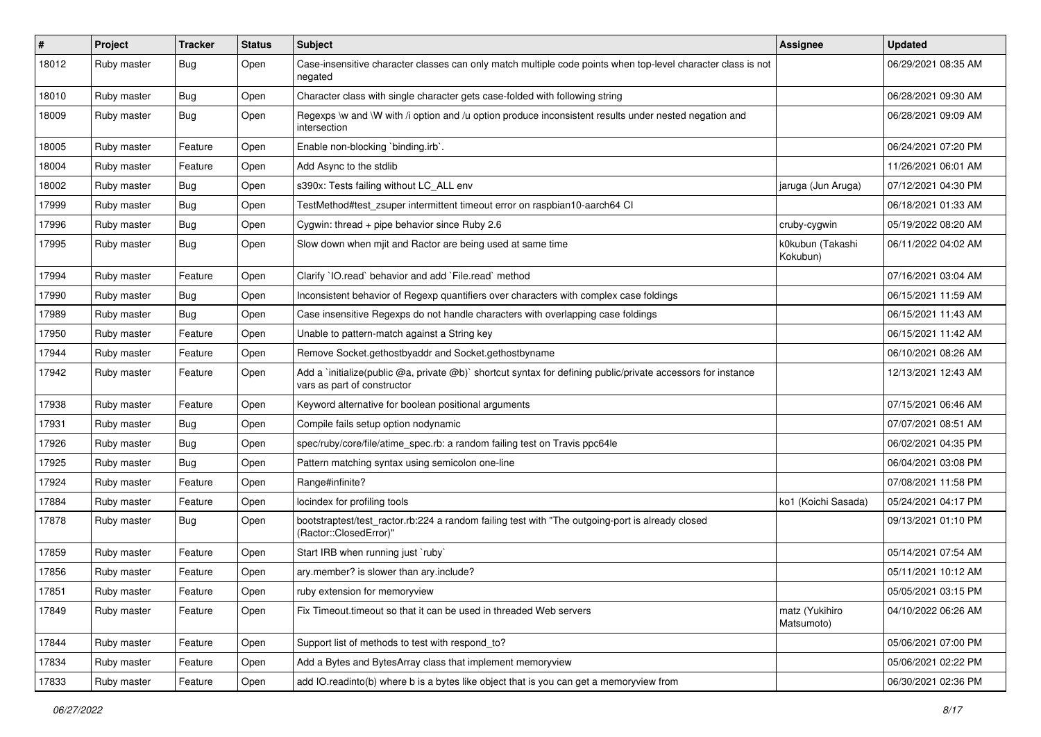| $\#$  | Project     | <b>Tracker</b> | <b>Status</b> | Subject                                                                                                                                     | <b>Assignee</b>              | <b>Updated</b>      |
|-------|-------------|----------------|---------------|---------------------------------------------------------------------------------------------------------------------------------------------|------------------------------|---------------------|
| 18012 | Ruby master | <b>Bug</b>     | Open          | Case-insensitive character classes can only match multiple code points when top-level character class is not<br>negated                     |                              | 06/29/2021 08:35 AM |
| 18010 | Ruby master | <b>Bug</b>     | Open          | Character class with single character gets case-folded with following string                                                                |                              | 06/28/2021 09:30 AM |
| 18009 | Ruby master | Bug            | Open          | Regexps \w and \W with /i option and /u option produce inconsistent results under nested negation and<br>intersection                       |                              | 06/28/2021 09:09 AM |
| 18005 | Ruby master | Feature        | Open          | Enable non-blocking `binding.irb`.                                                                                                          |                              | 06/24/2021 07:20 PM |
| 18004 | Ruby master | Feature        | Open          | Add Async to the stdlib                                                                                                                     |                              | 11/26/2021 06:01 AM |
| 18002 | Ruby master | Bug            | Open          | s390x: Tests failing without LC_ALL env                                                                                                     | jaruga (Jun Aruga)           | 07/12/2021 04:30 PM |
| 17999 | Ruby master | Bug            | Open          | TestMethod#test zsuper intermittent timeout error on raspbian10-aarch64 CI                                                                  |                              | 06/18/2021 01:33 AM |
| 17996 | Ruby master | Bug            | Open          | Cygwin: thread + pipe behavior since Ruby 2.6                                                                                               | cruby-cygwin                 | 05/19/2022 08:20 AM |
| 17995 | Ruby master | Bug            | Open          | Slow down when mjit and Ractor are being used at same time                                                                                  | k0kubun (Takashi<br>Kokubun) | 06/11/2022 04:02 AM |
| 17994 | Ruby master | Feature        | Open          | Clarify 'IO.read' behavior and add 'File.read' method                                                                                       |                              | 07/16/2021 03:04 AM |
| 17990 | Ruby master | Bug            | Open          | Inconsistent behavior of Regexp quantifiers over characters with complex case foldings                                                      |                              | 06/15/2021 11:59 AM |
| 17989 | Ruby master | Bug            | Open          | Case insensitive Regexps do not handle characters with overlapping case foldings                                                            |                              | 06/15/2021 11:43 AM |
| 17950 | Ruby master | Feature        | Open          | Unable to pattern-match against a String key                                                                                                |                              | 06/15/2021 11:42 AM |
| 17944 | Ruby master | Feature        | Open          | Remove Socket.gethostbyaddr and Socket.gethostbyname                                                                                        |                              | 06/10/2021 08:26 AM |
| 17942 | Ruby master | Feature        | Open          | Add a `initialize(public @a, private @b)` shortcut syntax for defining public/private accessors for instance<br>vars as part of constructor |                              | 12/13/2021 12:43 AM |
| 17938 | Ruby master | Feature        | Open          | Keyword alternative for boolean positional arguments                                                                                        |                              | 07/15/2021 06:46 AM |
| 17931 | Ruby master | Bug            | Open          | Compile fails setup option nodynamic                                                                                                        |                              | 07/07/2021 08:51 AM |
| 17926 | Ruby master | <b>Bug</b>     | Open          | spec/ruby/core/file/atime_spec.rb: a random failing test on Travis ppc64le                                                                  |                              | 06/02/2021 04:35 PM |
| 17925 | Ruby master | Bug            | Open          | Pattern matching syntax using semicolon one-line                                                                                            |                              | 06/04/2021 03:08 PM |
| 17924 | Ruby master | Feature        | Open          | Range#infinite?                                                                                                                             |                              | 07/08/2021 11:58 PM |
| 17884 | Ruby master | Feature        | Open          | locindex for profiling tools                                                                                                                | ko1 (Koichi Sasada)          | 05/24/2021 04:17 PM |
| 17878 | Ruby master | Bug            | Open          | bootstraptest/test_ractor.rb:224 a random failing test with "The outgoing-port is already closed<br>(Ractor::ClosedError)"                  |                              | 09/13/2021 01:10 PM |
| 17859 | Ruby master | Feature        | Open          | Start IRB when running just `ruby`                                                                                                          |                              | 05/14/2021 07:54 AM |
| 17856 | Ruby master | Feature        | Open          | ary.member? is slower than ary.include?                                                                                                     |                              | 05/11/2021 10:12 AM |
| 17851 | Ruby master | Feature        | Open          | ruby extension for memoryview                                                                                                               |                              | 05/05/2021 03:15 PM |
| 17849 | Ruby master | Feature        | Open          | Fix Timeout timeout so that it can be used in threaded Web servers                                                                          | matz (Yukihiro<br>Matsumoto) | 04/10/2022 06:26 AM |
| 17844 | Ruby master | Feature        | Open          | Support list of methods to test with respond_to?                                                                                            |                              | 05/06/2021 07:00 PM |
| 17834 | Ruby master | Feature        | Open          | Add a Bytes and BytesArray class that implement memoryview                                                                                  |                              | 05/06/2021 02:22 PM |
| 17833 | Ruby master | Feature        | Open          | add IO.readinto(b) where b is a bytes like object that is you can get a memoryview from                                                     |                              | 06/30/2021 02:36 PM |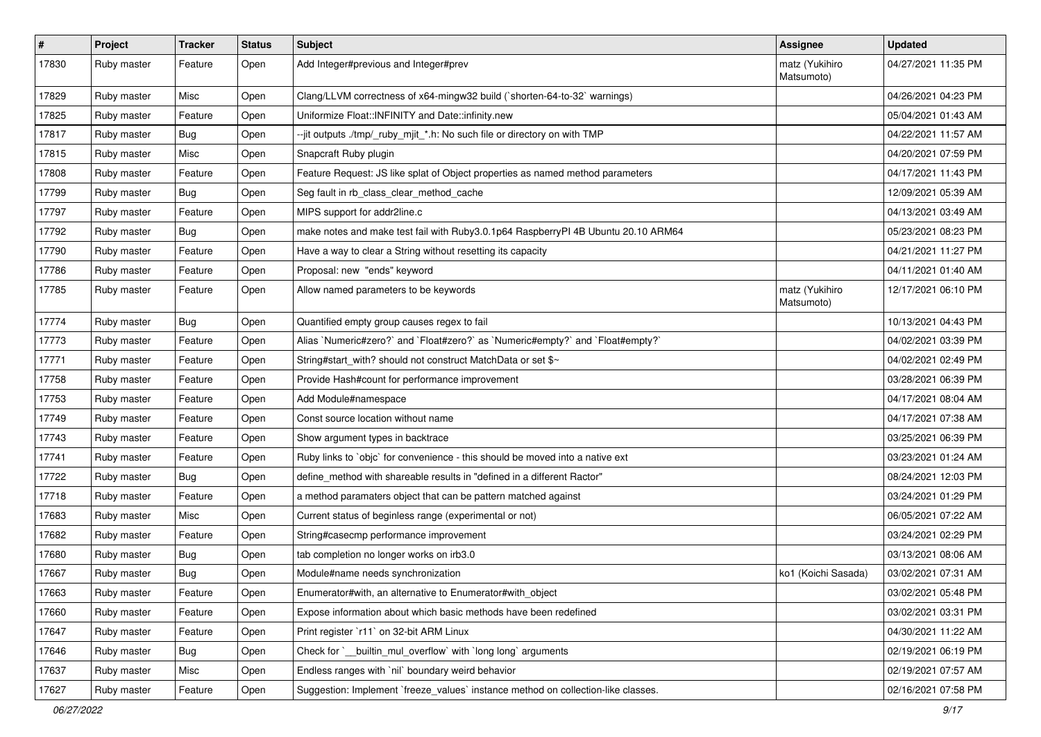| $\sharp$ | Project     | <b>Tracker</b> | <b>Status</b> | Subject                                                                           | <b>Assignee</b>              | <b>Updated</b>      |
|----------|-------------|----------------|---------------|-----------------------------------------------------------------------------------|------------------------------|---------------------|
| 17830    | Ruby master | Feature        | Open          | Add Integer#previous and Integer#prev                                             | matz (Yukihiro<br>Matsumoto) | 04/27/2021 11:35 PM |
| 17829    | Ruby master | Misc           | Open          | Clang/LLVM correctness of x64-mingw32 build (`shorten-64-to-32` warnings)         |                              | 04/26/2021 04:23 PM |
| 17825    | Ruby master | Feature        | Open          | Uniformize Float::INFINITY and Date::infinity.new                                 |                              | 05/04/2021 01:43 AM |
| 17817    | Ruby master | Bug            | Open          | --jit outputs ./tmp/_ruby_mjit_*.h: No such file or directory on with TMP         |                              | 04/22/2021 11:57 AM |
| 17815    | Ruby master | Misc           | Open          | Snapcraft Ruby plugin                                                             |                              | 04/20/2021 07:59 PM |
| 17808    | Ruby master | Feature        | Open          | Feature Request: JS like splat of Object properties as named method parameters    |                              | 04/17/2021 11:43 PM |
| 17799    | Ruby master | <b>Bug</b>     | Open          | Seg fault in rb_class_clear_method_cache                                          |                              | 12/09/2021 05:39 AM |
| 17797    | Ruby master | Feature        | Open          | MIPS support for addr2line.c                                                      |                              | 04/13/2021 03:49 AM |
| 17792    | Ruby master | Bug            | Open          | make notes and make test fail with Ruby3.0.1p64 RaspberryPI 4B Ubuntu 20.10 ARM64 |                              | 05/23/2021 08:23 PM |
| 17790    | Ruby master | Feature        | Open          | Have a way to clear a String without resetting its capacity                       |                              | 04/21/2021 11:27 PM |
| 17786    | Ruby master | Feature        | Open          | Proposal: new "ends" keyword                                                      |                              | 04/11/2021 01:40 AM |
| 17785    | Ruby master | Feature        | Open          | Allow named parameters to be keywords                                             | matz (Yukihiro<br>Matsumoto) | 12/17/2021 06:10 PM |
| 17774    | Ruby master | Bug            | Open          | Quantified empty group causes regex to fail                                       |                              | 10/13/2021 04:43 PM |
| 17773    | Ruby master | Feature        | Open          | Alias `Numeric#zero?` and `Float#zero?` as `Numeric#empty?` and `Float#empty?`    |                              | 04/02/2021 03:39 PM |
| 17771    | Ruby master | Feature        | Open          | String#start_with? should not construct MatchData or set \$~                      |                              | 04/02/2021 02:49 PM |
| 17758    | Ruby master | Feature        | Open          | Provide Hash#count for performance improvement                                    |                              | 03/28/2021 06:39 PM |
| 17753    | Ruby master | Feature        | Open          | Add Module#namespace                                                              |                              | 04/17/2021 08:04 AM |
| 17749    | Ruby master | Feature        | Open          | Const source location without name                                                |                              | 04/17/2021 07:38 AM |
| 17743    | Ruby master | Feature        | Open          | Show argument types in backtrace                                                  |                              | 03/25/2021 06:39 PM |
| 17741    | Ruby master | Feature        | Open          | Ruby links to `objc` for convenience - this should be moved into a native ext     |                              | 03/23/2021 01:24 AM |
| 17722    | Ruby master | Bug            | Open          | define_method with shareable results in "defined in a different Ractor"           |                              | 08/24/2021 12:03 PM |
| 17718    | Ruby master | Feature        | Open          | a method paramaters object that can be pattern matched against                    |                              | 03/24/2021 01:29 PM |
| 17683    | Ruby master | Misc           | Open          | Current status of beginless range (experimental or not)                           |                              | 06/05/2021 07:22 AM |
| 17682    | Ruby master | Feature        | Open          | String#casecmp performance improvement                                            |                              | 03/24/2021 02:29 PM |
| 17680    | Ruby master | <b>Bug</b>     | Open          | tab completion no longer works on irb3.0                                          |                              | 03/13/2021 08:06 AM |
| 17667    | Ruby master | Bug            | Open          | Module#name needs synchronization                                                 | ko1 (Koichi Sasada)          | 03/02/2021 07:31 AM |
| 17663    | Ruby master | Feature        | Open          | Enumerator#with, an alternative to Enumerator#with_object                         |                              | 03/02/2021 05:48 PM |
| 17660    | Ruby master | Feature        | Open          | Expose information about which basic methods have been redefined                  |                              | 03/02/2021 03:31 PM |
| 17647    | Ruby master | Feature        | Open          | Print register `r11` on 32-bit ARM Linux                                          |                              | 04/30/2021 11:22 AM |
| 17646    | Ruby master | <b>Bug</b>     | Open          | Check for `__builtin_mul_overflow` with `long long` arguments                     |                              | 02/19/2021 06:19 PM |
| 17637    | Ruby master | Misc           | Open          | Endless ranges with 'nil' boundary weird behavior                                 |                              | 02/19/2021 07:57 AM |
| 17627    | Ruby master | Feature        | Open          | Suggestion: Implement `freeze_values` instance method on collection-like classes. |                              | 02/16/2021 07:58 PM |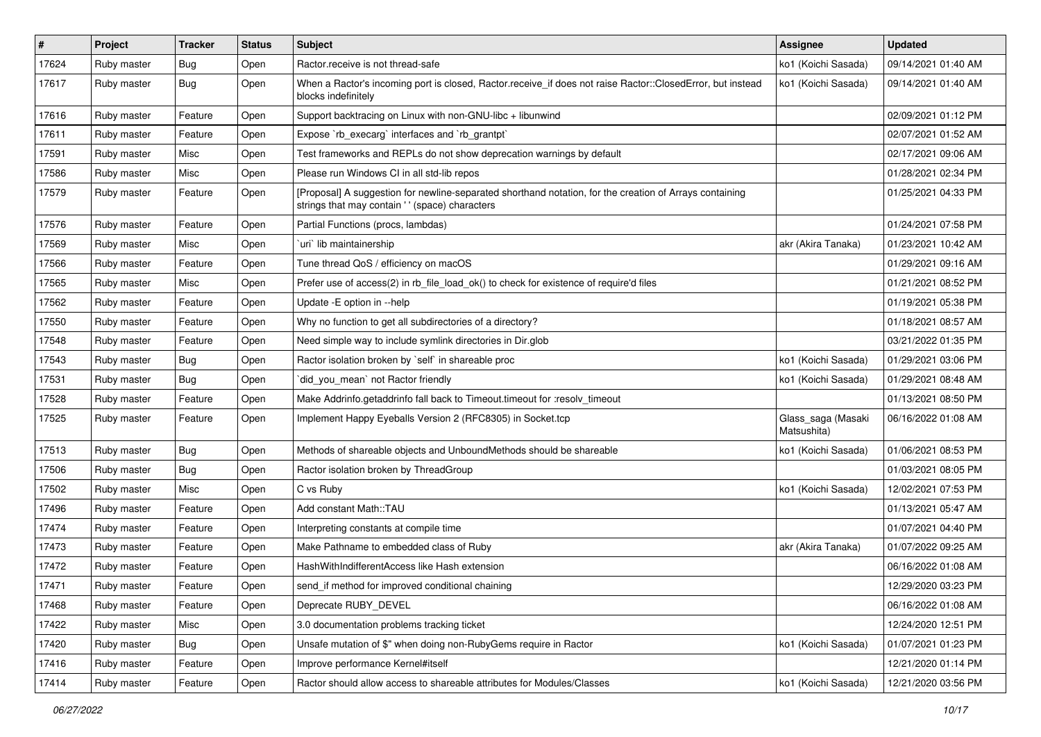| $\vert$ # | Project     | <b>Tracker</b> | <b>Status</b> | <b>Subject</b>                                                                                                                                             | Assignee                          | <b>Updated</b>      |
|-----------|-------------|----------------|---------------|------------------------------------------------------------------------------------------------------------------------------------------------------------|-----------------------------------|---------------------|
| 17624     | Ruby master | <b>Bug</b>     | Open          | Ractor.receive is not thread-safe                                                                                                                          | ko1 (Koichi Sasada)               | 09/14/2021 01:40 AM |
| 17617     | Ruby master | Bug            | Open          | When a Ractor's incoming port is closed, Ractor.receive_if does not raise Ractor::ClosedError, but instead<br>blocks indefinitely                          | ko1 (Koichi Sasada)               | 09/14/2021 01:40 AM |
| 17616     | Ruby master | Feature        | Open          | Support backtracing on Linux with non-GNU-libc + libunwind                                                                                                 |                                   | 02/09/2021 01:12 PM |
| 17611     | Ruby master | Feature        | Open          | Expose `rb_execarg` interfaces and `rb_grantpt`                                                                                                            |                                   | 02/07/2021 01:52 AM |
| 17591     | Ruby master | Misc           | Open          | Test frameworks and REPLs do not show deprecation warnings by default                                                                                      |                                   | 02/17/2021 09:06 AM |
| 17586     | Ruby master | Misc           | Open          | Please run Windows CI in all std-lib repos                                                                                                                 |                                   | 01/28/2021 02:34 PM |
| 17579     | Ruby master | Feature        | Open          | [Proposal] A suggestion for newline-separated shorthand notation, for the creation of Arrays containing<br>strings that may contain ' ' (space) characters |                                   | 01/25/2021 04:33 PM |
| 17576     | Ruby master | Feature        | Open          | Partial Functions (procs, lambdas)                                                                                                                         |                                   | 01/24/2021 07:58 PM |
| 17569     | Ruby master | Misc           | Open          | uri lib maintainership                                                                                                                                     | akr (Akira Tanaka)                | 01/23/2021 10:42 AM |
| 17566     | Ruby master | Feature        | Open          | Tune thread QoS / efficiency on macOS                                                                                                                      |                                   | 01/29/2021 09:16 AM |
| 17565     | Ruby master | Misc           | Open          | Prefer use of access(2) in rb_file_load_ok() to check for existence of require'd files                                                                     |                                   | 01/21/2021 08:52 PM |
| 17562     | Ruby master | Feature        | Open          | Update -E option in --help                                                                                                                                 |                                   | 01/19/2021 05:38 PM |
| 17550     | Ruby master | Feature        | Open          | Why no function to get all subdirectories of a directory?                                                                                                  |                                   | 01/18/2021 08:57 AM |
| 17548     | Ruby master | Feature        | Open          | Need simple way to include symlink directories in Dir.glob                                                                                                 |                                   | 03/21/2022 01:35 PM |
| 17543     | Ruby master | <b>Bug</b>     | Open          | Ractor isolation broken by `self` in shareable proc                                                                                                        | ko1 (Koichi Sasada)               | 01/29/2021 03:06 PM |
| 17531     | Ruby master | <b>Bug</b>     | Open          | did_you_mean` not Ractor friendly                                                                                                                          | ko1 (Koichi Sasada)               | 01/29/2021 08:48 AM |
| 17528     | Ruby master | Feature        | Open          | Make Addrinfo.getaddrinfo fall back to Timeout.timeout for :resolv timeout                                                                                 |                                   | 01/13/2021 08:50 PM |
| 17525     | Ruby master | Feature        | Open          | Implement Happy Eyeballs Version 2 (RFC8305) in Socket.tcp                                                                                                 | Glass_saga (Masaki<br>Matsushita) | 06/16/2022 01:08 AM |
| 17513     | Ruby master | Bug            | Open          | Methods of shareable objects and UnboundMethods should be shareable                                                                                        | ko1 (Koichi Sasada)               | 01/06/2021 08:53 PM |
| 17506     | Ruby master | <b>Bug</b>     | Open          | Ractor isolation broken by ThreadGroup                                                                                                                     |                                   | 01/03/2021 08:05 PM |
| 17502     | Ruby master | Misc           | Open          | C vs Ruby                                                                                                                                                  | ko1 (Koichi Sasada)               | 12/02/2021 07:53 PM |
| 17496     | Ruby master | Feature        | Open          | Add constant Math::TAU                                                                                                                                     |                                   | 01/13/2021 05:47 AM |
| 17474     | Ruby master | Feature        | Open          | Interpreting constants at compile time                                                                                                                     |                                   | 01/07/2021 04:40 PM |
| 17473     | Ruby master | Feature        | Open          | Make Pathname to embedded class of Ruby                                                                                                                    | akr (Akira Tanaka)                | 01/07/2022 09:25 AM |
| 17472     | Ruby master | Feature        | Open          | HashWithIndifferentAccess like Hash extension                                                                                                              |                                   | 06/16/2022 01:08 AM |
| 17471     | Ruby master | Feature        | Open          | send_if method for improved conditional chaining                                                                                                           |                                   | 12/29/2020 03:23 PM |
| 17468     | Ruby master | Feature        | Open          | Deprecate RUBY DEVEL                                                                                                                                       |                                   | 06/16/2022 01:08 AM |
| 17422     | Ruby master | Misc           | Open          | 3.0 documentation problems tracking ticket                                                                                                                 |                                   | 12/24/2020 12:51 PM |
| 17420     | Ruby master | Bug            | Open          | Unsafe mutation of \$" when doing non-RubyGems require in Ractor                                                                                           | ko1 (Koichi Sasada)               | 01/07/2021 01:23 PM |
| 17416     | Ruby master | Feature        | Open          | Improve performance Kernel#itself                                                                                                                          |                                   | 12/21/2020 01:14 PM |
| 17414     | Ruby master | Feature        | Open          | Ractor should allow access to shareable attributes for Modules/Classes                                                                                     | ko1 (Koichi Sasada)               | 12/21/2020 03:56 PM |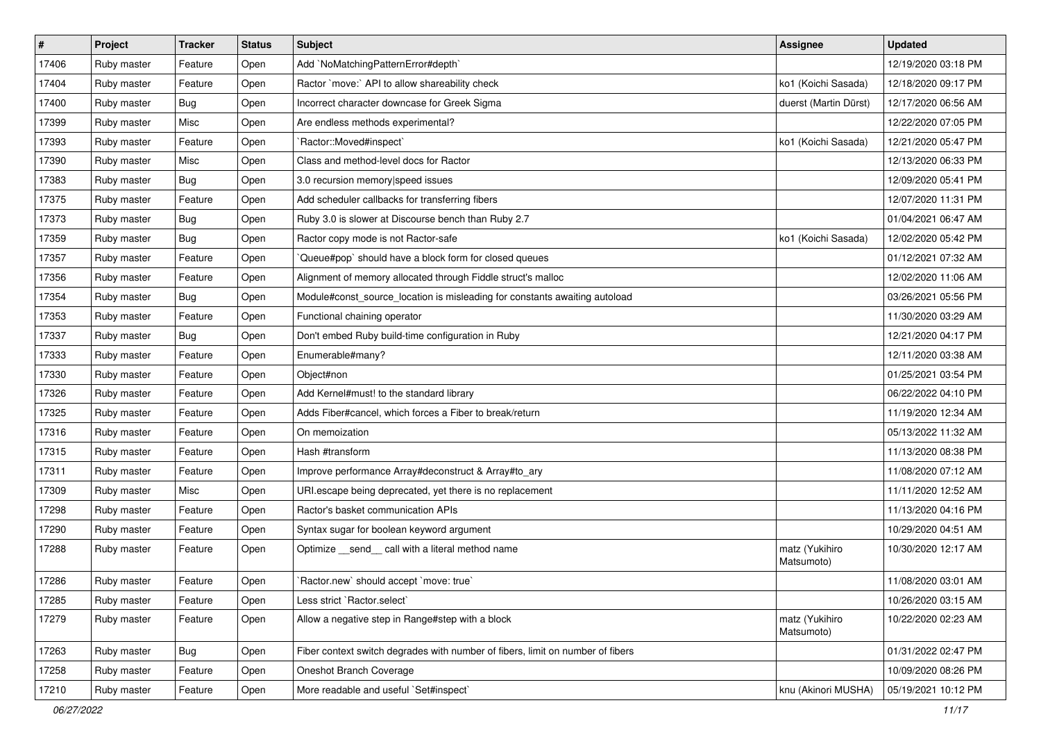| $\pmb{\sharp}$ | Project     | <b>Tracker</b> | <b>Status</b> | Subject                                                                        | <b>Assignee</b>              | <b>Updated</b>      |
|----------------|-------------|----------------|---------------|--------------------------------------------------------------------------------|------------------------------|---------------------|
| 17406          | Ruby master | Feature        | Open          | Add `NoMatchingPatternError#depth`                                             |                              | 12/19/2020 03:18 PM |
| 17404          | Ruby master | Feature        | Open          | Ractor `move:` API to allow shareability check                                 | ko1 (Koichi Sasada)          | 12/18/2020 09:17 PM |
| 17400          | Ruby master | Bug            | Open          | Incorrect character downcase for Greek Sigma                                   | duerst (Martin Dürst)        | 12/17/2020 06:56 AM |
| 17399          | Ruby master | Misc           | Open          | Are endless methods experimental?                                              |                              | 12/22/2020 07:05 PM |
| 17393          | Ruby master | Feature        | Open          | `Ractor::Moved#inspect`                                                        | ko1 (Koichi Sasada)          | 12/21/2020 05:47 PM |
| 17390          | Ruby master | Misc           | Open          | Class and method-level docs for Ractor                                         |                              | 12/13/2020 06:33 PM |
| 17383          | Ruby master | Bug            | Open          | 3.0 recursion memory speed issues                                              |                              | 12/09/2020 05:41 PM |
| 17375          | Ruby master | Feature        | Open          | Add scheduler callbacks for transferring fibers                                |                              | 12/07/2020 11:31 PM |
| 17373          | Ruby master | Bug            | Open          | Ruby 3.0 is slower at Discourse bench than Ruby 2.7                            |                              | 01/04/2021 06:47 AM |
| 17359          | Ruby master | Bug            | Open          | Ractor copy mode is not Ractor-safe                                            | ko1 (Koichi Sasada)          | 12/02/2020 05:42 PM |
| 17357          | Ruby master | Feature        | Open          | Queue#pop` should have a block form for closed queues                          |                              | 01/12/2021 07:32 AM |
| 17356          | Ruby master | Feature        | Open          | Alignment of memory allocated through Fiddle struct's malloc                   |                              | 12/02/2020 11:06 AM |
| 17354          | Ruby master | <b>Bug</b>     | Open          | Module#const_source_location is misleading for constants awaiting autoload     |                              | 03/26/2021 05:56 PM |
| 17353          | Ruby master | Feature        | Open          | Functional chaining operator                                                   |                              | 11/30/2020 03:29 AM |
| 17337          | Ruby master | Bug            | Open          | Don't embed Ruby build-time configuration in Ruby                              |                              | 12/21/2020 04:17 PM |
| 17333          | Ruby master | Feature        | Open          | Enumerable#many?                                                               |                              | 12/11/2020 03:38 AM |
| 17330          | Ruby master | Feature        | Open          | Object#non                                                                     |                              | 01/25/2021 03:54 PM |
| 17326          | Ruby master | Feature        | Open          | Add Kernel#must! to the standard library                                       |                              | 06/22/2022 04:10 PM |
| 17325          | Ruby master | Feature        | Open          | Adds Fiber#cancel, which forces a Fiber to break/return                        |                              | 11/19/2020 12:34 AM |
| 17316          | Ruby master | Feature        | Open          | On memoization                                                                 |                              | 05/13/2022 11:32 AM |
| 17315          | Ruby master | Feature        | Open          | Hash #transform                                                                |                              | 11/13/2020 08:38 PM |
| 17311          | Ruby master | Feature        | Open          | Improve performance Array#deconstruct & Array#to_ary                           |                              | 11/08/2020 07:12 AM |
| 17309          | Ruby master | Misc           | Open          | URI escape being deprecated, yet there is no replacement                       |                              | 11/11/2020 12:52 AM |
| 17298          | Ruby master | Feature        | Open          | Ractor's basket communication APIs                                             |                              | 11/13/2020 04:16 PM |
| 17290          | Ruby master | Feature        | Open          | Syntax sugar for boolean keyword argument                                      |                              | 10/29/2020 04:51 AM |
| 17288          | Ruby master | Feature        | Open          | Optimize _send_ call with a literal method name                                | matz (Yukihiro<br>Matsumoto) | 10/30/2020 12:17 AM |
| 17286          | Ruby master | Feature        | Open          | 'Ractor.new' should accept 'move: true'                                        |                              | 11/08/2020 03:01 AM |
| 17285          | Ruby master | Feature        | Open          | Less strict `Ractor.select`                                                    |                              | 10/26/2020 03:15 AM |
| 17279          | Ruby master | Feature        | Open          | Allow a negative step in Range#step with a block                               | matz (Yukihiro<br>Matsumoto) | 10/22/2020 02:23 AM |
| 17263          | Ruby master | Bug            | Open          | Fiber context switch degrades with number of fibers, limit on number of fibers |                              | 01/31/2022 02:47 PM |
| 17258          | Ruby master | Feature        | Open          | Oneshot Branch Coverage                                                        |                              | 10/09/2020 08:26 PM |
| 17210          | Ruby master | Feature        | Open          | More readable and useful `Set#inspect`                                         | knu (Akinori MUSHA)          | 05/19/2021 10:12 PM |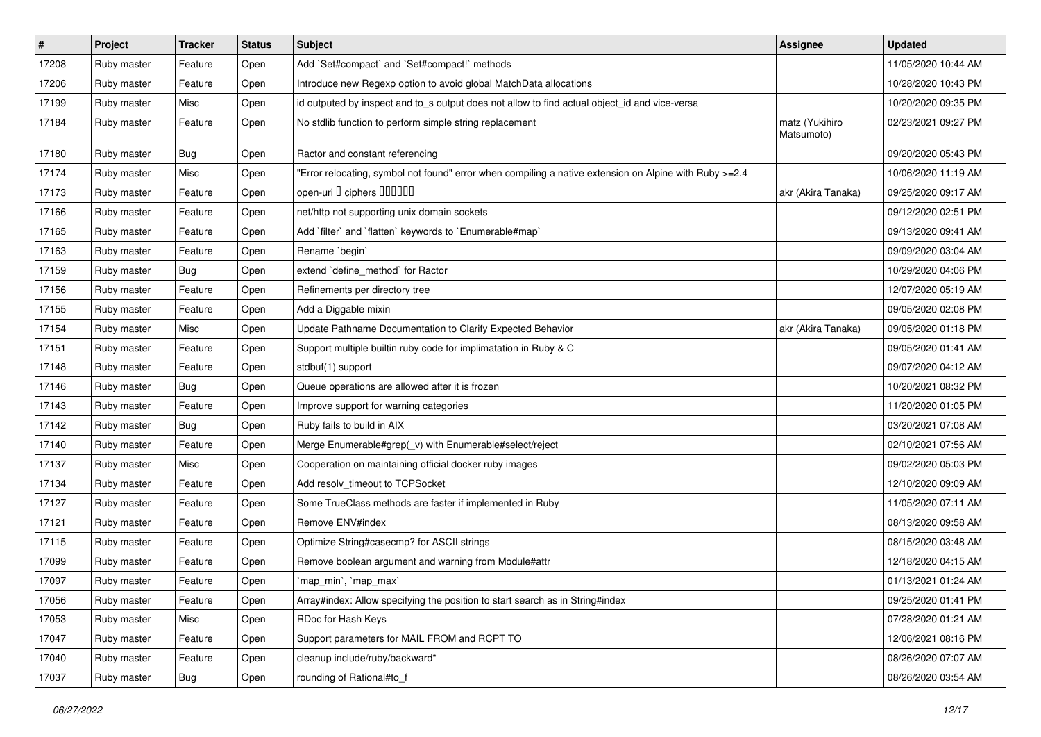| $\#$  | Project     | <b>Tracker</b> | <b>Status</b> | Subject                                                                                                | <b>Assignee</b>              | <b>Updated</b>      |
|-------|-------------|----------------|---------------|--------------------------------------------------------------------------------------------------------|------------------------------|---------------------|
| 17208 | Ruby master | Feature        | Open          | Add `Set#compact` and `Set#compact!` methods                                                           |                              | 11/05/2020 10:44 AM |
| 17206 | Ruby master | Feature        | Open          | Introduce new Regexp option to avoid global MatchData allocations                                      |                              | 10/28/2020 10:43 PM |
| 17199 | Ruby master | Misc           | Open          | id outputed by inspect and to_s output does not allow to find actual object id and vice-versa          |                              | 10/20/2020 09:35 PM |
| 17184 | Ruby master | Feature        | Open          | No stdlib function to perform simple string replacement                                                | matz (Yukihiro<br>Matsumoto) | 02/23/2021 09:27 PM |
| 17180 | Ruby master | Bug            | Open          | Ractor and constant referencing                                                                        |                              | 09/20/2020 05:43 PM |
| 17174 | Ruby master | Misc           | Open          | Error relocating, symbol not found" error when compiling a native extension on Alpine with Ruby >=2.4" |                              | 10/06/2020 11:19 AM |
| 17173 | Ruby master | Feature        | Open          | open-uri I ciphers IIIIIII                                                                             | akr (Akira Tanaka)           | 09/25/2020 09:17 AM |
| 17166 | Ruby master | Feature        | Open          | net/http not supporting unix domain sockets                                                            |                              | 09/12/2020 02:51 PM |
| 17165 | Ruby master | Feature        | Open          | Add `filter` and `flatten` keywords to `Enumerable#map`                                                |                              | 09/13/2020 09:41 AM |
| 17163 | Ruby master | Feature        | Open          | Rename `begin`                                                                                         |                              | 09/09/2020 03:04 AM |
| 17159 | Ruby master | Bug            | Open          | extend 'define_method' for Ractor                                                                      |                              | 10/29/2020 04:06 PM |
| 17156 | Ruby master | Feature        | Open          | Refinements per directory tree                                                                         |                              | 12/07/2020 05:19 AM |
| 17155 | Ruby master | Feature        | Open          | Add a Diggable mixin                                                                                   |                              | 09/05/2020 02:08 PM |
| 17154 | Ruby master | Misc           | Open          | Update Pathname Documentation to Clarify Expected Behavior                                             | akr (Akira Tanaka)           | 09/05/2020 01:18 PM |
| 17151 | Ruby master | Feature        | Open          | Support multiple builtin ruby code for implimatation in Ruby & C                                       |                              | 09/05/2020 01:41 AM |
| 17148 | Ruby master | Feature        | Open          | stdbuf(1) support                                                                                      |                              | 09/07/2020 04:12 AM |
| 17146 | Ruby master | Bug            | Open          | Queue operations are allowed after it is frozen                                                        |                              | 10/20/2021 08:32 PM |
| 17143 | Ruby master | Feature        | Open          | Improve support for warning categories                                                                 |                              | 11/20/2020 01:05 PM |
| 17142 | Ruby master | Bug            | Open          | Ruby fails to build in AIX                                                                             |                              | 03/20/2021 07:08 AM |
| 17140 | Ruby master | Feature        | Open          | Merge Enumerable#grep(_v) with Enumerable#select/reject                                                |                              | 02/10/2021 07:56 AM |
| 17137 | Ruby master | Misc           | Open          | Cooperation on maintaining official docker ruby images                                                 |                              | 09/02/2020 05:03 PM |
| 17134 | Ruby master | Feature        | Open          | Add resolv_timeout to TCPSocket                                                                        |                              | 12/10/2020 09:09 AM |
| 17127 | Ruby master | Feature        | Open          | Some TrueClass methods are faster if implemented in Ruby                                               |                              | 11/05/2020 07:11 AM |
| 17121 | Ruby master | Feature        | Open          | Remove ENV#index                                                                                       |                              | 08/13/2020 09:58 AM |
| 17115 | Ruby master | Feature        | Open          | Optimize String#casecmp? for ASCII strings                                                             |                              | 08/15/2020 03:48 AM |
| 17099 | Ruby master | Feature        | Open          | Remove boolean argument and warning from Module#attr                                                   |                              | 12/18/2020 04:15 AM |
| 17097 | Ruby master | Feature        | Open          | `map_min`, `map_max`                                                                                   |                              | 01/13/2021 01:24 AM |
| 17056 | Ruby master | Feature        | Open          | Array#index: Allow specifying the position to start search as in String#index                          |                              | 09/25/2020 01:41 PM |
| 17053 | Ruby master | Misc           | Open          | RDoc for Hash Keys                                                                                     |                              | 07/28/2020 01:21 AM |
| 17047 | Ruby master | Feature        | Open          | Support parameters for MAIL FROM and RCPT TO                                                           |                              | 12/06/2021 08:16 PM |
| 17040 | Ruby master | Feature        | Open          | cleanup include/ruby/backward*                                                                         |                              | 08/26/2020 07:07 AM |
| 17037 | Ruby master | Bug            | Open          | rounding of Rational#to_f                                                                              |                              | 08/26/2020 03:54 AM |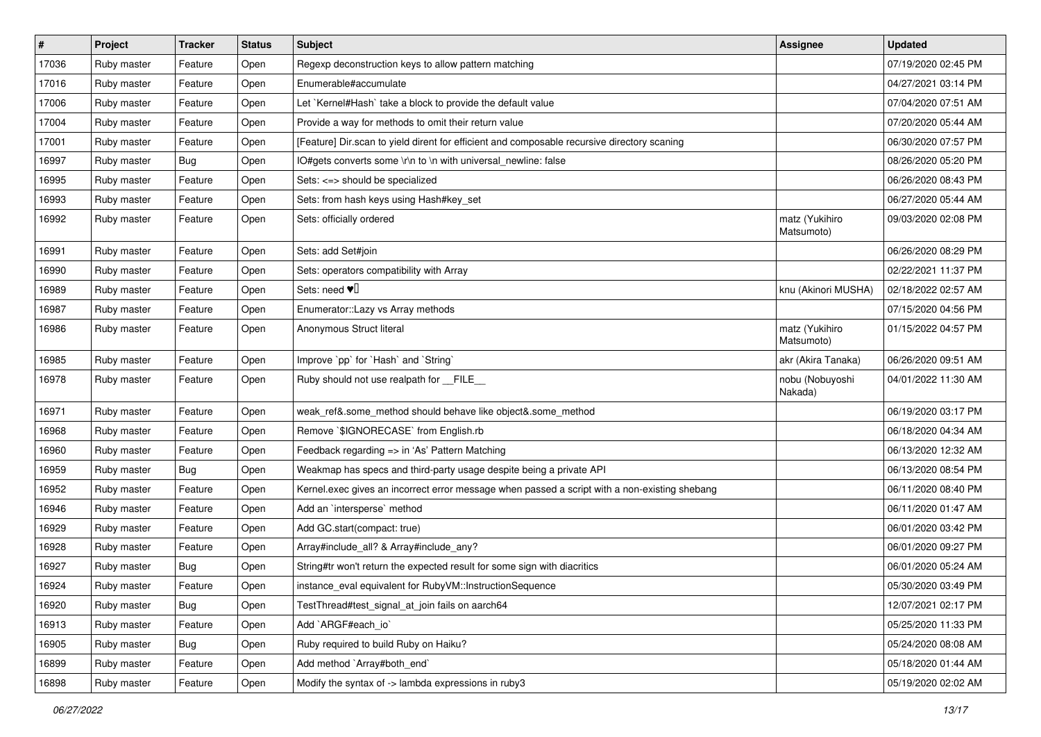| $\vert$ # | Project     | <b>Tracker</b> | <b>Status</b> | <b>Subject</b>                                                                                | <b>Assignee</b>              | <b>Updated</b>      |
|-----------|-------------|----------------|---------------|-----------------------------------------------------------------------------------------------|------------------------------|---------------------|
| 17036     | Ruby master | Feature        | Open          | Regexp deconstruction keys to allow pattern matching                                          |                              | 07/19/2020 02:45 PM |
| 17016     | Ruby master | Feature        | Open          | Enumerable#accumulate                                                                         |                              | 04/27/2021 03:14 PM |
| 17006     | Ruby master | Feature        | Open          | Let `Kernel#Hash` take a block to provide the default value                                   |                              | 07/04/2020 07:51 AM |
| 17004     | Ruby master | Feature        | Open          | Provide a way for methods to omit their return value                                          |                              | 07/20/2020 05:44 AM |
| 17001     | Ruby master | Feature        | Open          | [Feature] Dir.scan to yield dirent for efficient and composable recursive directory scaning   |                              | 06/30/2020 07:57 PM |
| 16997     | Ruby master | <b>Bug</b>     | Open          | IO#gets converts some \r\n to \n with universal newline: false                                |                              | 08/26/2020 05:20 PM |
| 16995     | Ruby master | Feature        | Open          | Sets: <=> should be specialized                                                               |                              | 06/26/2020 08:43 PM |
| 16993     | Ruby master | Feature        | Open          | Sets: from hash keys using Hash#key_set                                                       |                              | 06/27/2020 05:44 AM |
| 16992     | Ruby master | Feature        | Open          | Sets: officially ordered                                                                      | matz (Yukihiro<br>Matsumoto) | 09/03/2020 02:08 PM |
| 16991     | Ruby master | Feature        | Open          | Sets: add Set#join                                                                            |                              | 06/26/2020 08:29 PM |
| 16990     | Ruby master | Feature        | Open          | Sets: operators compatibility with Array                                                      |                              | 02/22/2021 11:37 PM |
| 16989     | Ruby master | Feature        | Open          | Sets: need $\Psi$                                                                             | knu (Akinori MUSHA)          | 02/18/2022 02:57 AM |
| 16987     | Ruby master | Feature        | Open          | Enumerator::Lazy vs Array methods                                                             |                              | 07/15/2020 04:56 PM |
| 16986     | Ruby master | Feature        | Open          | Anonymous Struct literal                                                                      | matz (Yukihiro<br>Matsumoto) | 01/15/2022 04:57 PM |
| 16985     | Ruby master | Feature        | Open          | Improve `pp` for `Hash` and `String`                                                          | akr (Akira Tanaka)           | 06/26/2020 09:51 AM |
| 16978     | Ruby master | Feature        | Open          | Ruby should not use realpath for FILE                                                         | nobu (Nobuyoshi<br>Nakada)   | 04/01/2022 11:30 AM |
| 16971     | Ruby master | Feature        | Open          | weak_ref&.some_method should behave like object&.some_method                                  |                              | 06/19/2020 03:17 PM |
| 16968     | Ruby master | Feature        | Open          | Remove `\$IGNORECASE` from English.rb                                                         |                              | 06/18/2020 04:34 AM |
| 16960     | Ruby master | Feature        | Open          | Feedback regarding => in 'As' Pattern Matching                                                |                              | 06/13/2020 12:32 AM |
| 16959     | Ruby master | Bug            | Open          | Weakmap has specs and third-party usage despite being a private API                           |                              | 06/13/2020 08:54 PM |
| 16952     | Ruby master | Feature        | Open          | Kernel.exec gives an incorrect error message when passed a script with a non-existing shebang |                              | 06/11/2020 08:40 PM |
| 16946     | Ruby master | Feature        | Open          | Add an `intersperse` method                                                                   |                              | 06/11/2020 01:47 AM |
| 16929     | Ruby master | Feature        | Open          | Add GC.start(compact: true)                                                                   |                              | 06/01/2020 03:42 PM |
| 16928     | Ruby master | Feature        | Open          | Array#include_all? & Array#include_any?                                                       |                              | 06/01/2020 09:27 PM |
| 16927     | Ruby master | Bug            | Open          | String#tr won't return the expected result for some sign with diacritics                      |                              | 06/01/2020 05:24 AM |
| 16924     | Ruby master | Feature        | Open          | instance_eval equivalent for RubyVM::InstructionSequence                                      |                              | 05/30/2020 03:49 PM |
| 16920     | Ruby master | Bug            | Open          | TestThread#test_signal_at_join fails on aarch64                                               |                              | 12/07/2021 02:17 PM |
| 16913     | Ruby master | Feature        | Open          | Add `ARGF#each_io`                                                                            |                              | 05/25/2020 11:33 PM |
| 16905     | Ruby master | Bug            | Open          | Ruby required to build Ruby on Haiku?                                                         |                              | 05/24/2020 08:08 AM |
| 16899     | Ruby master | Feature        | Open          | Add method `Array#both_end`                                                                   |                              | 05/18/2020 01:44 AM |
| 16898     | Ruby master | Feature        | Open          | Modify the syntax of -> lambda expressions in ruby3                                           |                              | 05/19/2020 02:02 AM |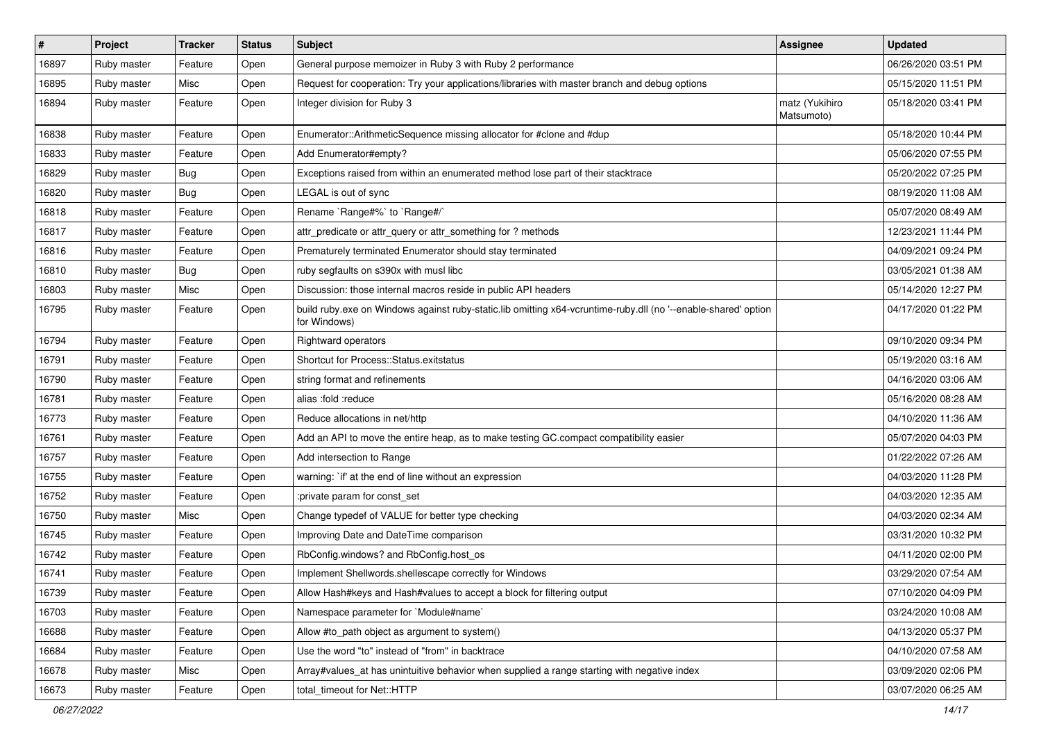| $\#$  | Project     | <b>Tracker</b> | <b>Status</b> | Subject                                                                                                                        | <b>Assignee</b>              | <b>Updated</b>      |
|-------|-------------|----------------|---------------|--------------------------------------------------------------------------------------------------------------------------------|------------------------------|---------------------|
| 16897 | Ruby master | Feature        | Open          | General purpose memoizer in Ruby 3 with Ruby 2 performance                                                                     |                              | 06/26/2020 03:51 PM |
| 16895 | Ruby master | Misc           | Open          | Request for cooperation: Try your applications/libraries with master branch and debug options                                  |                              | 05/15/2020 11:51 PM |
| 16894 | Ruby master | Feature        | Open          | Integer division for Ruby 3                                                                                                    | matz (Yukihiro<br>Matsumoto) | 05/18/2020 03:41 PM |
| 16838 | Ruby master | Feature        | Open          | Enumerator::ArithmeticSequence missing allocator for #clone and #dup                                                           |                              | 05/18/2020 10:44 PM |
| 16833 | Ruby master | Feature        | Open          | Add Enumerator#empty?                                                                                                          |                              | 05/06/2020 07:55 PM |
| 16829 | Ruby master | <b>Bug</b>     | Open          | Exceptions raised from within an enumerated method lose part of their stacktrace                                               |                              | 05/20/2022 07:25 PM |
| 16820 | Ruby master | Bug            | Open          | LEGAL is out of sync                                                                                                           |                              | 08/19/2020 11:08 AM |
| 16818 | Ruby master | Feature        | Open          | Rename `Range#%` to `Range#/`                                                                                                  |                              | 05/07/2020 08:49 AM |
| 16817 | Ruby master | Feature        | Open          | attr_predicate or attr_query or attr_something for ? methods                                                                   |                              | 12/23/2021 11:44 PM |
| 16816 | Ruby master | Feature        | Open          | Prematurely terminated Enumerator should stay terminated                                                                       |                              | 04/09/2021 09:24 PM |
| 16810 | Ruby master | <b>Bug</b>     | Open          | ruby segfaults on s390x with musl libc                                                                                         |                              | 03/05/2021 01:38 AM |
| 16803 | Ruby master | Misc           | Open          | Discussion: those internal macros reside in public API headers                                                                 |                              | 05/14/2020 12:27 PM |
| 16795 | Ruby master | Feature        | Open          | build ruby exe on Windows against ruby-static.lib omitting x64-vcruntime-ruby dll (no '--enable-shared' option<br>for Windows) |                              | 04/17/2020 01:22 PM |
| 16794 | Ruby master | Feature        | Open          | Rightward operators                                                                                                            |                              | 09/10/2020 09:34 PM |
| 16791 | Ruby master | Feature        | Open          | Shortcut for Process::Status.exitstatus                                                                                        |                              | 05/19/2020 03:16 AM |
| 16790 | Ruby master | Feature        | Open          | string format and refinements                                                                                                  |                              | 04/16/2020 03:06 AM |
| 16781 | Ruby master | Feature        | Open          | alias :fold :reduce                                                                                                            |                              | 05/16/2020 08:28 AM |
| 16773 | Ruby master | Feature        | Open          | Reduce allocations in net/http                                                                                                 |                              | 04/10/2020 11:36 AM |
| 16761 | Ruby master | Feature        | Open          | Add an API to move the entire heap, as to make testing GC.compact compatibility easier                                         |                              | 05/07/2020 04:03 PM |
| 16757 | Ruby master | Feature        | Open          | Add intersection to Range                                                                                                      |                              | 01/22/2022 07:26 AM |
| 16755 | Ruby master | Feature        | Open          | warning: `if' at the end of line without an expression                                                                         |                              | 04/03/2020 11:28 PM |
| 16752 | Ruby master | Feature        | Open          | :private param for const_set                                                                                                   |                              | 04/03/2020 12:35 AM |
| 16750 | Ruby master | Misc           | Open          | Change typedef of VALUE for better type checking                                                                               |                              | 04/03/2020 02:34 AM |
| 16745 | Ruby master | Feature        | Open          | Improving Date and DateTime comparison                                                                                         |                              | 03/31/2020 10:32 PM |
| 16742 | Ruby master | Feature        | Open          | RbConfig.windows? and RbConfig.host_os                                                                                         |                              | 04/11/2020 02:00 PM |
| 16741 | Ruby master | Feature        | Open          | Implement Shellwords.shellescape correctly for Windows                                                                         |                              | 03/29/2020 07:54 AM |
| 16739 | Ruby master | Feature        | Open          | Allow Hash#keys and Hash#values to accept a block for filtering output                                                         |                              | 07/10/2020 04:09 PM |
| 16703 | Ruby master | Feature        | Open          | Namespace parameter for `Module#name`                                                                                          |                              | 03/24/2020 10:08 AM |
| 16688 | Ruby master | Feature        | Open          | Allow #to_path object as argument to system()                                                                                  |                              | 04/13/2020 05:37 PM |
| 16684 | Ruby master | Feature        | Open          | Use the word "to" instead of "from" in backtrace                                                                               |                              | 04/10/2020 07:58 AM |
| 16678 | Ruby master | Misc           | Open          | Array#values_at has unintuitive behavior when supplied a range starting with negative index                                    |                              | 03/09/2020 02:06 PM |
| 16673 | Ruby master | Feature        | Open          | total_timeout for Net::HTTP                                                                                                    |                              | 03/07/2020 06:25 AM |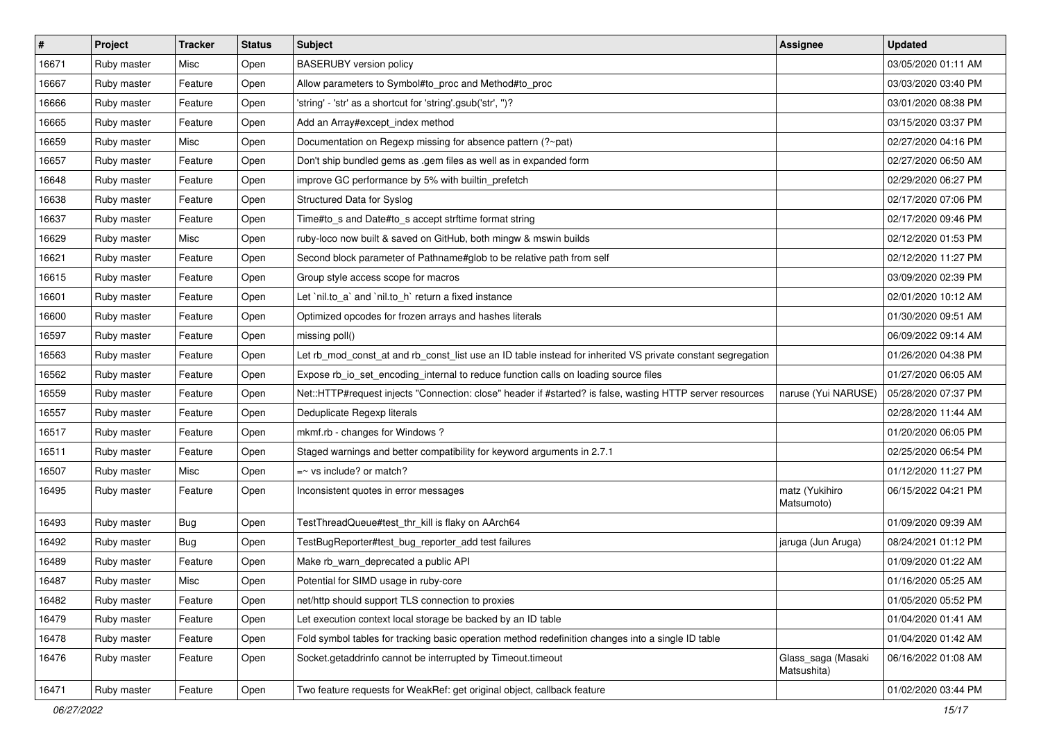| $\#$  | Project     | <b>Tracker</b> | <b>Status</b> | Subject                                                                                                     | <b>Assignee</b>                   | <b>Updated</b>      |
|-------|-------------|----------------|---------------|-------------------------------------------------------------------------------------------------------------|-----------------------------------|---------------------|
| 16671 | Ruby master | Misc           | Open          | <b>BASERUBY</b> version policy                                                                              |                                   | 03/05/2020 01:11 AM |
| 16667 | Ruby master | Feature        | Open          | Allow parameters to Symbol#to_proc and Method#to_proc                                                       |                                   | 03/03/2020 03:40 PM |
| 16666 | Ruby master | Feature        | Open          | 'string' - 'str' as a shortcut for 'string'.gsub('str', ")?                                                 |                                   | 03/01/2020 08:38 PM |
| 16665 | Ruby master | Feature        | Open          | Add an Array#except_index method                                                                            |                                   | 03/15/2020 03:37 PM |
| 16659 | Ruby master | Misc           | Open          | Documentation on Regexp missing for absence pattern (?~pat)                                                 |                                   | 02/27/2020 04:16 PM |
| 16657 | Ruby master | Feature        | Open          | Don't ship bundled gems as .gem files as well as in expanded form                                           |                                   | 02/27/2020 06:50 AM |
| 16648 | Ruby master | Feature        | Open          | improve GC performance by 5% with builtin_prefetch                                                          |                                   | 02/29/2020 06:27 PM |
| 16638 | Ruby master | Feature        | Open          | Structured Data for Syslog                                                                                  |                                   | 02/17/2020 07:06 PM |
| 16637 | Ruby master | Feature        | Open          | Time#to_s and Date#to_s accept strftime format string                                                       |                                   | 02/17/2020 09:46 PM |
| 16629 | Ruby master | Misc           | Open          | ruby-loco now built & saved on GitHub, both mingw & mswin builds                                            |                                   | 02/12/2020 01:53 PM |
| 16621 | Ruby master | Feature        | Open          | Second block parameter of Pathname#glob to be relative path from self                                       |                                   | 02/12/2020 11:27 PM |
| 16615 | Ruby master | Feature        | Open          | Group style access scope for macros                                                                         |                                   | 03/09/2020 02:39 PM |
| 16601 | Ruby master | Feature        | Open          | Let `nil.to_a` and `nil.to_h` return a fixed instance                                                       |                                   | 02/01/2020 10:12 AM |
| 16600 | Ruby master | Feature        | Open          | Optimized opcodes for frozen arrays and hashes literals                                                     |                                   | 01/30/2020 09:51 AM |
| 16597 | Ruby master | Feature        | Open          | missing poll()                                                                                              |                                   | 06/09/2022 09:14 AM |
| 16563 | Ruby master | Feature        | Open          | Let rb mod const at and rb const list use an ID table instead for inherited VS private constant segregation |                                   | 01/26/2020 04:38 PM |
| 16562 | Ruby master | Feature        | Open          | Expose rb_io_set_encoding_internal to reduce function calls on loading source files                         |                                   | 01/27/2020 06:05 AM |
| 16559 | Ruby master | Feature        | Open          | Net::HTTP#request injects "Connection: close" header if #started? is false, wasting HTTP server resources   | naruse (Yui NARUSE)               | 05/28/2020 07:37 PM |
| 16557 | Ruby master | Feature        | Open          | Deduplicate Regexp literals                                                                                 |                                   | 02/28/2020 11:44 AM |
| 16517 | Ruby master | Feature        | Open          | mkmf.rb - changes for Windows?                                                                              |                                   | 01/20/2020 06:05 PM |
| 16511 | Ruby master | Feature        | Open          | Staged warnings and better compatibility for keyword arguments in 2.7.1                                     |                                   | 02/25/2020 06:54 PM |
| 16507 | Ruby master | Misc           | Open          | $=$ vs include? or match?                                                                                   |                                   | 01/12/2020 11:27 PM |
| 16495 | Ruby master | Feature        | Open          | Inconsistent quotes in error messages                                                                       | matz (Yukihiro<br>Matsumoto)      | 06/15/2022 04:21 PM |
| 16493 | Ruby master | <b>Bug</b>     | Open          | TestThreadQueue#test_thr_kill is flaky on AArch64                                                           |                                   | 01/09/2020 09:39 AM |
| 16492 | Ruby master | Bug            | Open          | TestBugReporter#test_bug_reporter_add test failures                                                         | jaruga (Jun Aruga)                | 08/24/2021 01:12 PM |
| 16489 | Ruby master | Feature        | Open          | Make rb_warn_deprecated a public API                                                                        |                                   | 01/09/2020 01:22 AM |
| 16487 | Ruby master | Misc           | Open          | Potential for SIMD usage in ruby-core                                                                       |                                   | 01/16/2020 05:25 AM |
| 16482 | Ruby master | Feature        | Open          | net/http should support TLS connection to proxies                                                           |                                   | 01/05/2020 05:52 PM |
| 16479 | Ruby master | Feature        | Open          | Let execution context local storage be backed by an ID table                                                |                                   | 01/04/2020 01:41 AM |
| 16478 | Ruby master | Feature        | Open          | Fold symbol tables for tracking basic operation method redefinition changes into a single ID table          |                                   | 01/04/2020 01:42 AM |
| 16476 | Ruby master | Feature        | Open          | Socket.getaddrinfo cannot be interrupted by Timeout.timeout                                                 | Glass_saga (Masaki<br>Matsushita) | 06/16/2022 01:08 AM |
| 16471 | Ruby master | Feature        | Open          | Two feature requests for WeakRef: get original object, callback feature                                     |                                   | 01/02/2020 03:44 PM |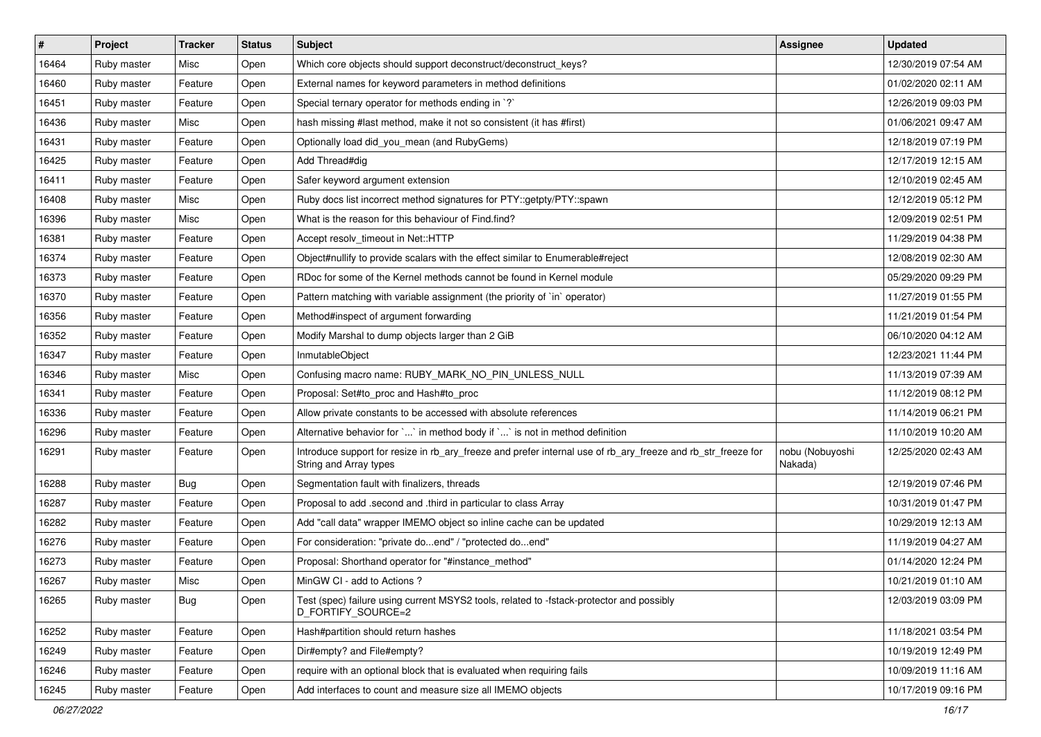| $\vert$ # | Project     | Tracker    | <b>Status</b> | Subject                                                                                                                                | <b>Assignee</b>            | <b>Updated</b>      |
|-----------|-------------|------------|---------------|----------------------------------------------------------------------------------------------------------------------------------------|----------------------------|---------------------|
| 16464     | Ruby master | Misc       | Open          | Which core objects should support deconstruct/deconstruct_keys?                                                                        |                            | 12/30/2019 07:54 AM |
| 16460     | Ruby master | Feature    | Open          | External names for keyword parameters in method definitions                                                                            |                            | 01/02/2020 02:11 AM |
| 16451     | Ruby master | Feature    | Open          | Special ternary operator for methods ending in `?`                                                                                     |                            | 12/26/2019 09:03 PM |
| 16436     | Ruby master | Misc       | Open          | hash missing #last method, make it not so consistent (it has #first)                                                                   |                            | 01/06/2021 09:47 AM |
| 16431     | Ruby master | Feature    | Open          | Optionally load did_you_mean (and RubyGems)                                                                                            |                            | 12/18/2019 07:19 PM |
| 16425     | Ruby master | Feature    | Open          | Add Thread#dig                                                                                                                         |                            | 12/17/2019 12:15 AM |
| 16411     | Ruby master | Feature    | Open          | Safer keyword argument extension                                                                                                       |                            | 12/10/2019 02:45 AM |
| 16408     | Ruby master | Misc       | Open          | Ruby docs list incorrect method signatures for PTY::getpty/PTY::spawn                                                                  |                            | 12/12/2019 05:12 PM |
| 16396     | Ruby master | Misc       | Open          | What is the reason for this behaviour of Find.find?                                                                                    |                            | 12/09/2019 02:51 PM |
| 16381     | Ruby master | Feature    | Open          | Accept resolv_timeout in Net::HTTP                                                                                                     |                            | 11/29/2019 04:38 PM |
| 16374     | Ruby master | Feature    | Open          | Object#nullify to provide scalars with the effect similar to Enumerable#reject                                                         |                            | 12/08/2019 02:30 AM |
| 16373     | Ruby master | Feature    | Open          | RDoc for some of the Kernel methods cannot be found in Kernel module                                                                   |                            | 05/29/2020 09:29 PM |
| 16370     | Ruby master | Feature    | Open          | Pattern matching with variable assignment (the priority of `in` operator)                                                              |                            | 11/27/2019 01:55 PM |
| 16356     | Ruby master | Feature    | Open          | Method#inspect of argument forwarding                                                                                                  |                            | 11/21/2019 01:54 PM |
| 16352     | Ruby master | Feature    | Open          | Modify Marshal to dump objects larger than 2 GiB                                                                                       |                            | 06/10/2020 04:12 AM |
| 16347     | Ruby master | Feature    | Open          | InmutableObject                                                                                                                        |                            | 12/23/2021 11:44 PM |
| 16346     | Ruby master | Misc       | Open          | Confusing macro name: RUBY_MARK_NO_PIN_UNLESS_NULL                                                                                     |                            | 11/13/2019 07:39 AM |
| 16341     | Ruby master | Feature    | Open          | Proposal: Set#to_proc and Hash#to_proc                                                                                                 |                            | 11/12/2019 08:12 PM |
| 16336     | Ruby master | Feature    | Open          | Allow private constants to be accessed with absolute references                                                                        |                            | 11/14/2019 06:21 PM |
| 16296     | Ruby master | Feature    | Open          | Alternative behavior for ` ` in method body if ` ` is not in method definition                                                         |                            | 11/10/2019 10:20 AM |
| 16291     | Ruby master | Feature    | Open          | Introduce support for resize in rb_ary_freeze and prefer internal use of rb_ary_freeze and rb_str_freeze for<br>String and Array types | nobu (Nobuyoshi<br>Nakada) | 12/25/2020 02:43 AM |
| 16288     | Ruby master | Bug        | Open          | Segmentation fault with finalizers, threads                                                                                            |                            | 12/19/2019 07:46 PM |
| 16287     | Ruby master | Feature    | Open          | Proposal to add .second and .third in particular to class Array                                                                        |                            | 10/31/2019 01:47 PM |
| 16282     | Ruby master | Feature    | Open          | Add "call data" wrapper IMEMO object so inline cache can be updated                                                                    |                            | 10/29/2019 12:13 AM |
| 16276     | Ruby master | Feature    | Open          | For consideration: "private doend" / "protected doend"                                                                                 |                            | 11/19/2019 04:27 AM |
| 16273     | Ruby master | Feature    | Open          | Proposal: Shorthand operator for "#instance_method"                                                                                    |                            | 01/14/2020 12:24 PM |
| 16267     | Ruby master | Misc       | Open          | MinGW CI - add to Actions ?                                                                                                            |                            | 10/21/2019 01:10 AM |
| 16265     | Ruby master | <b>Bug</b> | Open          | Test (spec) failure using current MSYS2 tools, related to -fstack-protector and possibly<br>D_FORTIFY_SOURCE=2                         |                            | 12/03/2019 03:09 PM |
| 16252     | Ruby master | Feature    | Open          | Hash#partition should return hashes                                                                                                    |                            | 11/18/2021 03:54 PM |
| 16249     | Ruby master | Feature    | Open          | Dir#empty? and File#empty?                                                                                                             |                            | 10/19/2019 12:49 PM |
| 16246     | Ruby master | Feature    | Open          | require with an optional block that is evaluated when requiring fails                                                                  |                            | 10/09/2019 11:16 AM |
| 16245     | Ruby master | Feature    | Open          | Add interfaces to count and measure size all IMEMO objects                                                                             |                            | 10/17/2019 09:16 PM |